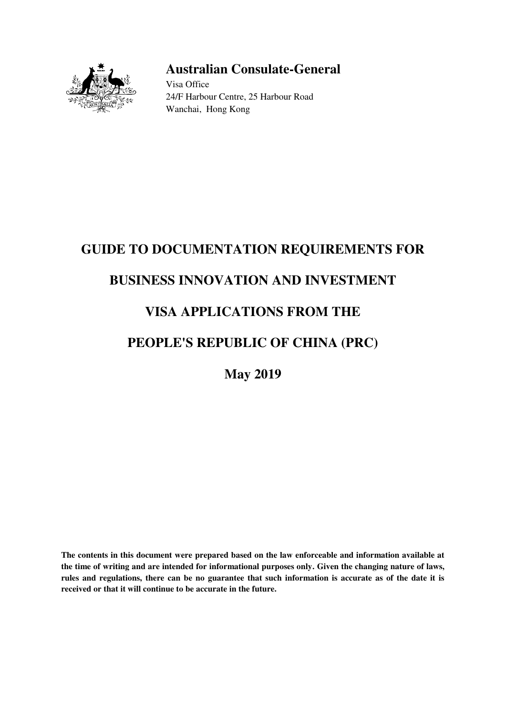

## **Australian Consulate-General**

Visa Office 24/F Harbour Centre, 25 Harbour Road Wanchai, Hong Kong

# **GUIDE TO DOCUMENTATION REQUIREMENTS FOR BUSINESS INNOVATION AND INVESTMENT**

## **VISA APPLICATIONS FROM THE**

## **PEOPLE'S REPUBLIC OF CHINA (PRC)**

**May 2019** 

**The contents in this document were prepared based on the law enforceable and information available at the time of writing and are intended for informational purposes only. Given the changing nature of laws, rules and regulations, there can be no guarantee that such information is accurate as of the date it is received or that it will continue to be accurate in the future.**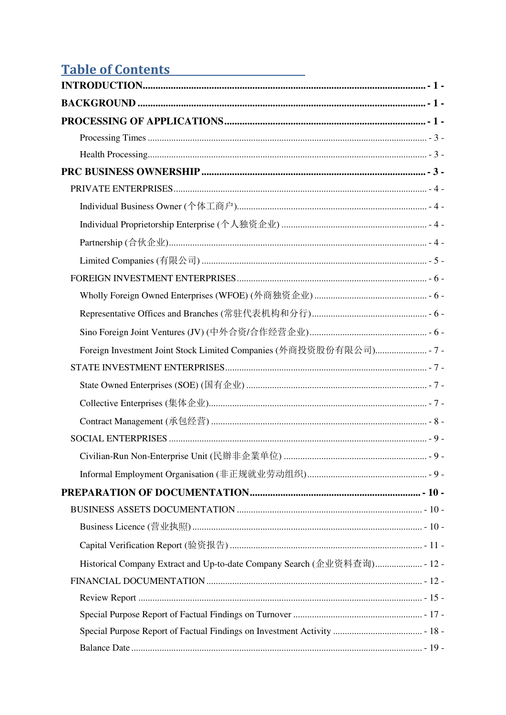## Table of Contents

| Historical Company Extract and Up-to-date Company Search (企业资料查询) - 12 - |  |
|--------------------------------------------------------------------------|--|
|                                                                          |  |
|                                                                          |  |
|                                                                          |  |
|                                                                          |  |
|                                                                          |  |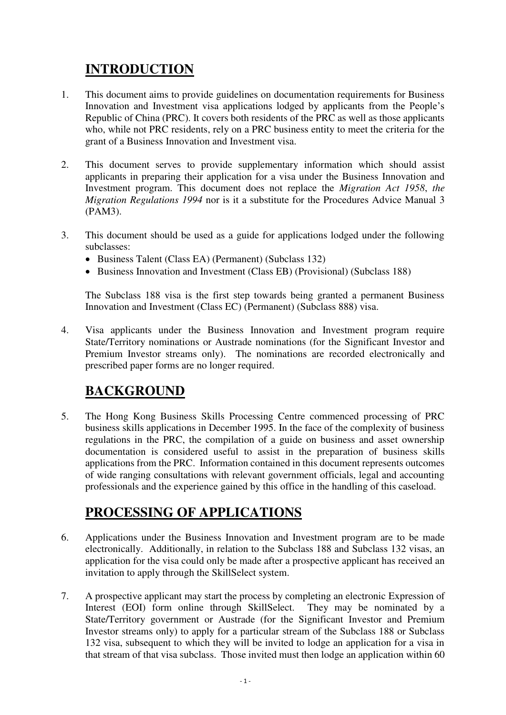## <span id="page-3-0"></span>**INTRODUCTION**

- 1. This document aims to provide guidelines on documentation requirements for Business Innovation and Investment visa applications lodged by applicants from the People's Republic of China (PRC). It covers both residents of the PRC as well as those applicants who, while not PRC residents, rely on a PRC business entity to meet the criteria for the grant of a Business Innovation and Investment visa.
- 2. This document serves to provide supplementary information which should assist applicants in preparing their application for a visa under the Business Innovation and Investment program. This document does not replace the *Migration Act 1958*, *the Migration Regulations 1994* nor is it a substitute for the Procedures Advice Manual 3 (PAM3).
- 3. This document should be used as a guide for applications lodged under the following subclasses:
	- Business Talent (Class EA) (Permanent) (Subclass 132)
	- Business Innovation and Investment (Class EB) (Provisional) (Subclass 188)

The Subclass 188 visa is the first step towards being granted a permanent Business Innovation and Investment (Class EC) (Permanent) (Subclass 888) visa.

4. Visa applicants under the Business Innovation and Investment program require State/Territory nominations or Austrade nominations (for the Significant Investor and Premium Investor streams only). The nominations are recorded electronically and prescribed paper forms are no longer required.

## <span id="page-3-1"></span>**BACKGROUND**

5. The Hong Kong Business Skills Processing Centre commenced processing of PRC business skills applications in December 1995. In the face of the complexity of business regulations in the PRC, the compilation of a guide on business and asset ownership documentation is considered useful to assist in the preparation of business skills applications from the PRC. Information contained in this document represents outcomes of wide ranging consultations with relevant government officials, legal and accounting professionals and the experience gained by this office in the handling of this caseload.

## <span id="page-3-2"></span>**PROCESSING OF APPLICATIONS**

- 6. Applications under the Business Innovation and Investment program are to be made electronically. Additionally, in relation to the Subclass 188 and Subclass 132 visas, an application for the visa could only be made after a prospective applicant has received an invitation to apply through the SkillSelect system.
- 7. A prospective applicant may start the process by completing an electronic Expression of Interest (EOI) form online through SkillSelect. They may be nominated by a State/Territory government or Austrade (for the Significant Investor and Premium Investor streams only) to apply for a particular stream of the Subclass 188 or Subclass 132 visa, subsequent to which they will be invited to lodge an application for a visa in that stream of that visa subclass. Those invited must then lodge an application within 60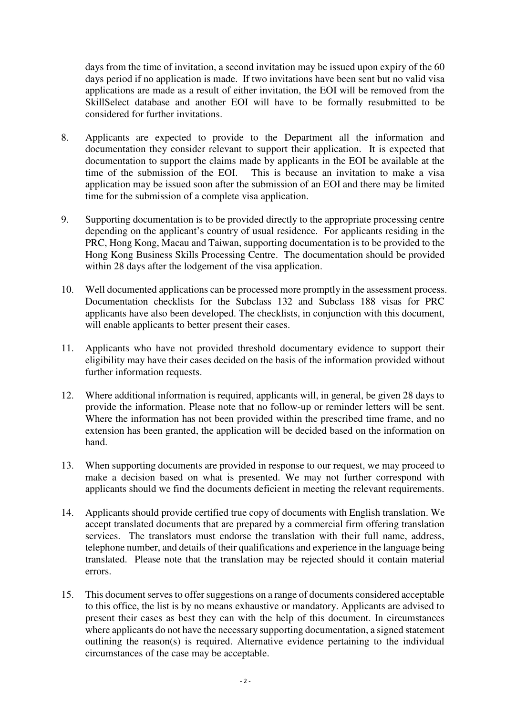days from the time of invitation, a second invitation may be issued upon expiry of the 60 days period if no application is made. If two invitations have been sent but no valid visa applications are made as a result of either invitation, the EOI will be removed from the SkillSelect database and another EOI will have to be formally resubmitted to be considered for further invitations.

- 8. Applicants are expected to provide to the Department all the information and documentation they consider relevant to support their application. It is expected that documentation to support the claims made by applicants in the EOI be available at the time of the submission of the EOI. This is because an invitation to make a visa application may be issued soon after the submission of an EOI and there may be limited time for the submission of a complete visa application.
- 9. Supporting documentation is to be provided directly to the appropriate processing centre depending on the applicant's country of usual residence. For applicants residing in the PRC, Hong Kong, Macau and Taiwan, supporting documentation is to be provided to the Hong Kong Business Skills Processing Centre. The documentation should be provided within 28 days after the lodgement of the visa application.
- 10. Well documented applications can be processed more promptly in the assessment process. Documentation checklists for the Subclass 132 and Subclass 188 visas for PRC applicants have also been developed. The checklists, in conjunction with this document, will enable applicants to better present their cases.
- 11. Applicants who have not provided threshold documentary evidence to support their eligibility may have their cases decided on the basis of the information provided without further information requests.
- 12. Where additional information is required, applicants will, in general, be given 28 days to provide the information. Please note that no follow-up or reminder letters will be sent. Where the information has not been provided within the prescribed time frame, and no extension has been granted, the application will be decided based on the information on hand.
- 13. When supporting documents are provided in response to our request, we may proceed to make a decision based on what is presented. We may not further correspond with applicants should we find the documents deficient in meeting the relevant requirements.
- 14. Applicants should provide certified true copy of documents with English translation. We accept translated documents that are prepared by a commercial firm offering translation services. The translators must endorse the translation with their full name, address, telephone number, and details of their qualifications and experience in the language being translated. Please note that the translation may be rejected should it contain material errors.
- 15. This document serves to offer suggestions on a range of documents considered acceptable to this office, the list is by no means exhaustive or mandatory. Applicants are advised to present their cases as best they can with the help of this document. In circumstances where applicants do not have the necessary supporting documentation, a signed statement outlining the reason(s) is required. Alternative evidence pertaining to the individual circumstances of the case may be acceptable.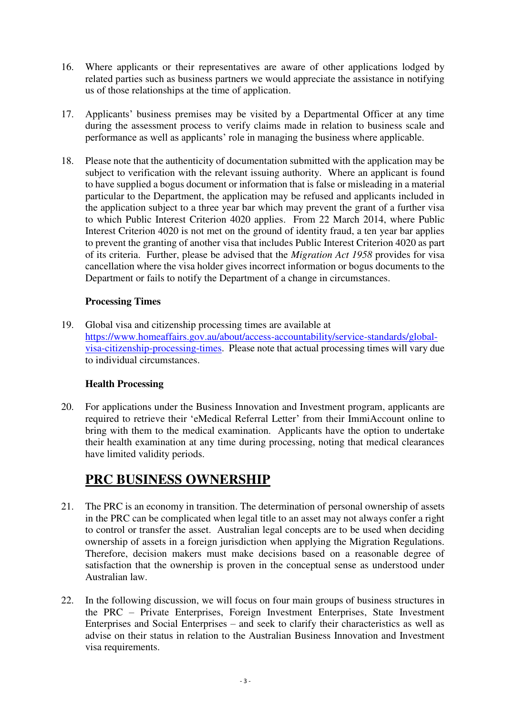- 16. Where applicants or their representatives are aware of other applications lodged by related parties such as business partners we would appreciate the assistance in notifying us of those relationships at the time of application.
- 17. Applicants' business premises may be visited by a Departmental Officer at any time during the assessment process to verify claims made in relation to business scale and performance as well as applicants' role in managing the business where applicable.
- 18. Please note that the authenticity of documentation submitted with the application may be subject to verification with the relevant issuing authority. Where an applicant is found to have supplied a bogus document or information that is false or misleading in a material particular to the Department, the application may be refused and applicants included in the application subject to a three year bar which may prevent the grant of a further visa to which Public Interest Criterion 4020 applies. From 22 March 2014, where Public Interest Criterion 4020 is not met on the ground of identity fraud, a ten year bar applies to prevent the granting of another visa that includes Public Interest Criterion 4020 as part of its criteria. Further, please be advised that the *Migration Act 1958* provides for visa cancellation where the visa holder gives incorrect information or bogus documents to the Department or fails to notify the Department of a change in circumstances.

#### **Processing Times**

<span id="page-5-0"></span>19. Global visa and citizenship processing times are available at [https://www.homeaffairs.gov.au/about/access-accountability/service-standards/global](https://www.homeaffairs.gov.au/about/access-accountability/service-standards/global-visa-citizenship-processing-times)[visa-citizenship-processing-times.](https://www.homeaffairs.gov.au/about/access-accountability/service-standards/global-visa-citizenship-processing-times) Please note that actual processing times will vary due to individual circumstances.

#### **Health Processing**

<span id="page-5-1"></span>20. For applications under the Business Innovation and Investment program, applicants are required to retrieve their 'eMedical Referral Letter' from their ImmiAccount online to bring with them to the medical examination. Applicants have the option to undertake their health examination at any time during processing, noting that medical clearances have limited validity periods.

## <span id="page-5-2"></span>**PRC BUSINESS OWNERSHIP**

- 21. The PRC is an economy in transition. The determination of personal ownership of assets in the PRC can be complicated when legal title to an asset may not always confer a right to control or transfer the asset. Australian legal concepts are to be used when deciding ownership of assets in a foreign jurisdiction when applying the Migration Regulations. Therefore, decision makers must make decisions based on a reasonable degree of satisfaction that the ownership is proven in the conceptual sense as understood under Australian law.
- 22. In the following discussion, we will focus on four main groups of business structures in the PRC – Private Enterprises, Foreign Investment Enterprises, State Investment Enterprises and Social Enterprises – and seek to clarify their characteristics as well as advise on their status in relation to the Australian Business Innovation and Investment visa requirements.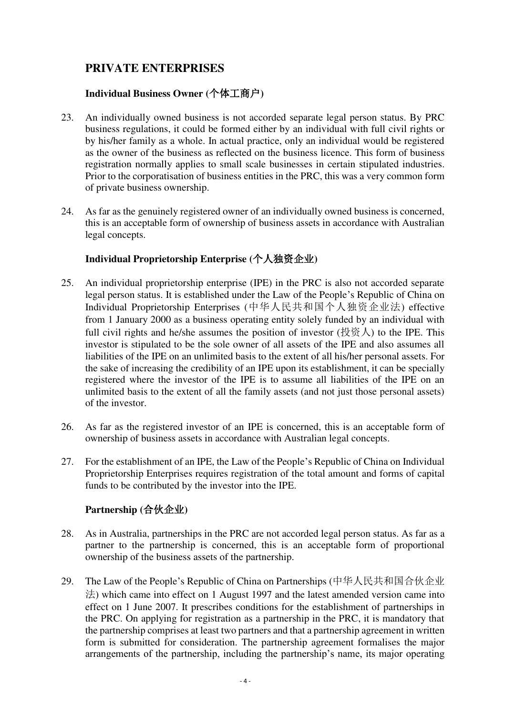## <span id="page-6-0"></span>**PRIVATE ENTERPRISES**

#### **Individual Business Owner (**个体工商户**)**

- <span id="page-6-1"></span>23. An individually owned business is not accorded separate legal person status. By PRC business regulations, it could be formed either by an individual with full civil rights or by his/her family as a whole. In actual practice, only an individual would be registered as the owner of the business as reflected on the business licence. This form of business registration normally applies to small scale businesses in certain stipulated industries. Prior to the corporatisation of business entities in the PRC, this was a very common form of private business ownership.
- 24. As far as the genuinely registered owner of an individually owned business is concerned, this is an acceptable form of ownership of business assets in accordance with Australian legal concepts.

#### **Individual Proprietorship Enterprise (**个人独资企业**)**

- <span id="page-6-2"></span>25. An individual proprietorship enterprise (IPE) in the PRC is also not accorded separate legal person status. It is established under the Law of the People's Republic of China on Individual Proprietorship Enterprises (中华人民共和国个人独资企业法) effective from 1 January 2000 as a business operating entity solely funded by an individual with full civil rights and he/she assumes the position of investor (投资人) to the IPE. This investor is stipulated to be the sole owner of all assets of the IPE and also assumes all liabilities of the IPE on an unlimited basis to the extent of all his/her personal assets. For the sake of increasing the credibility of an IPE upon its establishment, it can be specially registered where the investor of the IPE is to assume all liabilities of the IPE on an unlimited basis to the extent of all the family assets (and not just those personal assets) of the investor.
- 26. As far as the registered investor of an IPE is concerned, this is an acceptable form of ownership of business assets in accordance with Australian legal concepts.
- 27. For the establishment of an IPE, the Law of the People's Republic of China on Individual Proprietorship Enterprises requires registration of the total amount and forms of capital funds to be contributed by the investor into the IPE.

#### **Partnership (**合伙企业**)**

- <span id="page-6-3"></span>28. As in Australia, partnerships in the PRC are not accorded legal person status. As far as a partner to the partnership is concerned, this is an acceptable form of proportional ownership of the business assets of the partnership.
- 29. The Law of the People's Republic of China on Partnerships (中华人民共和国合伙企业 法) which came into effect on 1 August 1997 and the latest amended version came into effect on 1 June 2007. It prescribes conditions for the establishment of partnerships in the PRC. On applying for registration as a partnership in the PRC, it is mandatory that the partnership comprises at least two partners and that a partnership agreement in written form is submitted for consideration. The partnership agreement formalises the major arrangements of the partnership, including the partnership's name, its major operating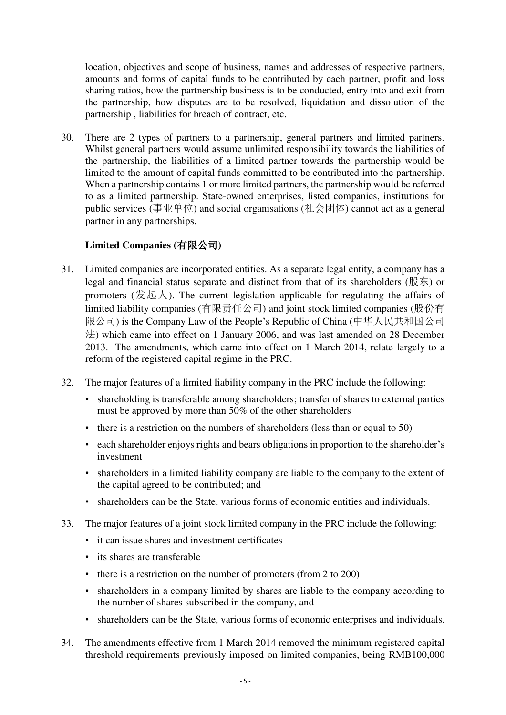location, objectives and scope of business, names and addresses of respective partners, amounts and forms of capital funds to be contributed by each partner, profit and loss sharing ratios, how the partnership business is to be conducted, entry into and exit from the partnership, how disputes are to be resolved, liquidation and dissolution of the partnership , liabilities for breach of contract, etc.

30. There are 2 types of partners to a partnership, general partners and limited partners. Whilst general partners would assume unlimited responsibility towards the liabilities of the partnership, the liabilities of a limited partner towards the partnership would be limited to the amount of capital funds committed to be contributed into the partnership. When a partnership contains 1 or more limited partners, the partnership would be referred to as a limited partnership. State-owned enterprises, listed companies, institutions for public services (事业单位) and social organisations (社会团体) cannot act as a general partner in any partnerships.

### **Limited Companies (**有限公司**)**

- <span id="page-7-0"></span>31. Limited companies are incorporated entities. As a separate legal entity, a company has a legal and financial status separate and distinct from that of its shareholders (股东) or promoters ( $\oint \mathcal{L}$ ). The current legislation applicable for regulating the affairs of limited liability companies (有限责任公司) and joint stock limited companies (股份有 限公司) is the Company Law of the People's Republic of China (中华人民共和国公司 法) which came into effect on 1 January 2006, and was last amended on 28 December 2013. The amendments, which came into effect on 1 March 2014, relate largely to a reform of the registered capital regime in the PRC.
- 32. The major features of a limited liability company in the PRC include the following:
	- shareholding is transferable among shareholders; transfer of shares to external parties must be approved by more than 50% of the other shareholders
	- there is a restriction on the numbers of shareholders (less than or equal to 50)
	- each shareholder enjoys rights and bears obligations in proportion to the shareholder's investment
	- shareholders in a limited liability company are liable to the company to the extent of the capital agreed to be contributed; and
	- shareholders can be the State, various forms of economic entities and individuals.
- 33. The major features of a joint stock limited company in the PRC include the following:
	- it can issue shares and investment certificates
	- its shares are transferable
	- there is a restriction on the number of promoters (from 2 to 200)
	- shareholders in a company limited by shares are liable to the company according to the number of shares subscribed in the company, and
	- shareholders can be the State, various forms of economic enterprises and individuals.
- 34. The amendments effective from 1 March 2014 removed the minimum registered capital threshold requirements previously imposed on limited companies, being RMB100,000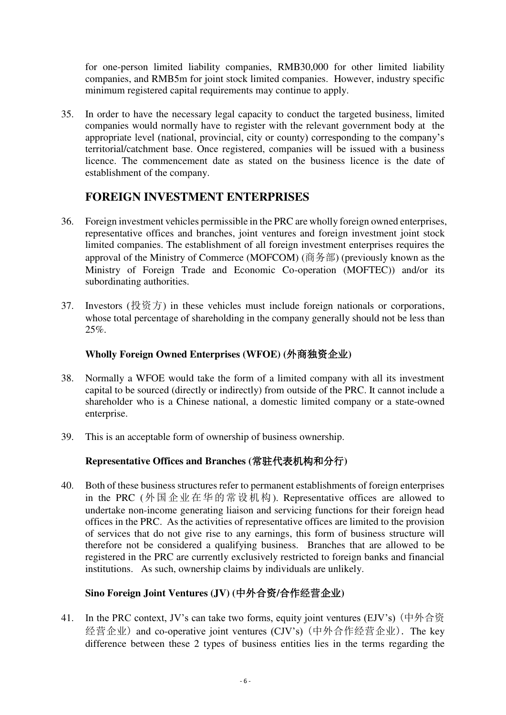for one-person limited liability companies, RMB30,000 for other limited liability companies, and RMB5m for joint stock limited companies. However, industry specific minimum registered capital requirements may continue to apply.

35. In order to have the necessary legal capacity to conduct the targeted business, limited companies would normally have to register with the relevant government body at the appropriate level (national, provincial, city or county) corresponding to the company's territorial/catchment base. Once registered, companies will be issued with a business licence. The commencement date as stated on the business licence is the date of establishment of the company.

### **FOREIGN INVESTMENT ENTERPRISES**

- <span id="page-8-0"></span>36. Foreign investment vehicles permissible in the PRC are wholly foreign owned enterprises, representative offices and branches, joint ventures and foreign investment joint stock limited companies. The establishment of all foreign investment enterprises requires the approval of the Ministry of Commerce (MOFCOM) (商务部) (previously known as the Ministry of Foreign Trade and Economic Co-operation (MOFTEC)) and/or its subordinating authorities.
- 37. Investors (投资方) in these vehicles must include foreign nationals or corporations, whose total percentage of shareholding in the company generally should not be less than 25%.

#### **Wholly Foreign Owned Enterprises (WFOE) (**外商独资企业**)**

- <span id="page-8-1"></span>38. Normally a WFOE would take the form of a limited company with all its investment capital to be sourced (directly or indirectly) from outside of the PRC. It cannot include a shareholder who is a Chinese national, a domestic limited company or a state-owned enterprise.
- <span id="page-8-2"></span>39. This is an acceptable form of ownership of business ownership.

#### **Representative Offices and Branches (**常驻代表机构和分行**)**

40. Both of these business structures refer to permanent establishments of foreign enterprises in the PRC (外国企业在华的常设机构). Representative offices are allowed to undertake non-income generating liaison and servicing functions for their foreign head offices in the PRC. As the activities of representative offices are limited to the provision of services that do not give rise to any earnings, this form of business structure will therefore not be considered a qualifying business. Branches that are allowed to be registered in the PRC are currently exclusively restricted to foreign banks and financial institutions. As such, ownership claims by individuals are unlikely.

### <span id="page-8-3"></span>**Sino Foreign Joint Ventures (JV) (**中外合资**/**合作经营企业**)**

41. In the PRC context, JV's can take two forms, equity joint ventures (EJV's) (中外合资 经营企业) and co-operative joint ventures (CJV's) (中外合作经营企业). The key difference between these 2 types of business entities lies in the terms regarding the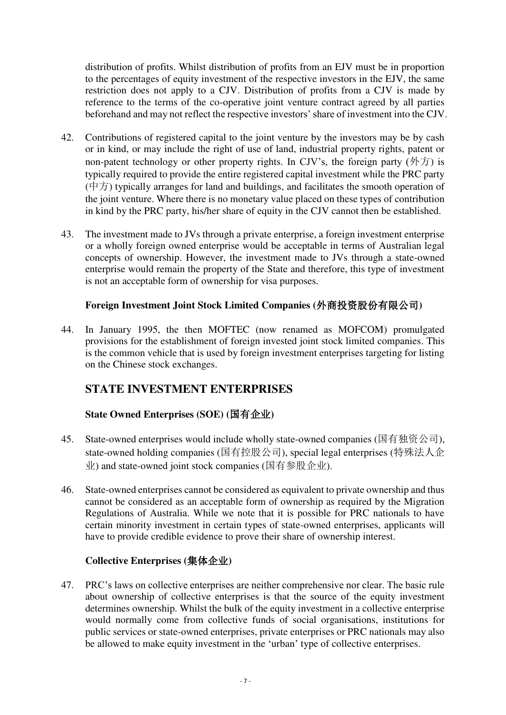distribution of profits. Whilst distribution of profits from an EJV must be in proportion to the percentages of equity investment of the respective investors in the EJV, the same restriction does not apply to a CJV. Distribution of profits from a CJV is made by reference to the terms of the co-operative joint venture contract agreed by all parties beforehand and may not reflect the respective investors' share of investment into the CJV.

- 42. Contributions of registered capital to the joint venture by the investors may be by cash or in kind, or may include the right of use of land, industrial property rights, patent or non-patent technology or other property rights. In CJV's, the foreign party  $(\frac{1}{2}, \frac{1}{2})$  is typically required to provide the entire registered capital investment while the PRC party  $(\nleftrightarrow f)$  typically arranges for land and buildings, and facilitates the smooth operation of the joint venture. Where there is no monetary value placed on these types of contribution in kind by the PRC party, his/her share of equity in the CJV cannot then be established.
- 43. The investment made to JVs through a private enterprise, a foreign investment enterprise or a wholly foreign owned enterprise would be acceptable in terms of Australian legal concepts of ownership. However, the investment made to JVs through a state-owned enterprise would remain the property of the State and therefore, this type of investment is not an acceptable form of ownership for visa purposes.

#### **Foreign Investment Joint Stock Limited Companies (**外商投资股份有限公司**)**

<span id="page-9-0"></span>44. In January 1995, the then MOFTEC (now renamed as MOFCOM) promulgated provisions for the establishment of foreign invested joint stock limited companies. This is the common vehicle that is used by foreign investment enterprises targeting for listing on the Chinese stock exchanges.

### <span id="page-9-1"></span>**STATE INVESTMENT ENTERPRISES**

#### <span id="page-9-2"></span>**State Owned Enterprises (SOE) (**国有企业**)**

- 45. State-owned enterprises would include wholly state-owned companies (国有独资公司), state-owned holding companies (国有控股公司), special legal enterprises (特殊法人企 业) and state-owned joint stock companies (国有参股企业).
- 46. State-owned enterprises cannot be considered as equivalent to private ownership and thus cannot be considered as an acceptable form of ownership as required by the Migration Regulations of Australia. While we note that it is possible for PRC nationals to have certain minority investment in certain types of state-owned enterprises, applicants will have to provide credible evidence to prove their share of ownership interest.

#### **Collective Enterprises (**集体企业**)**

<span id="page-9-3"></span>47. PRC's laws on collective enterprises are neither comprehensive nor clear. The basic rule about ownership of collective enterprises is that the source of the equity investment determines ownership. Whilst the bulk of the equity investment in a collective enterprise would normally come from collective funds of social organisations, institutions for public services or state-owned enterprises, private enterprises or PRC nationals may also be allowed to make equity investment in the 'urban' type of collective enterprises.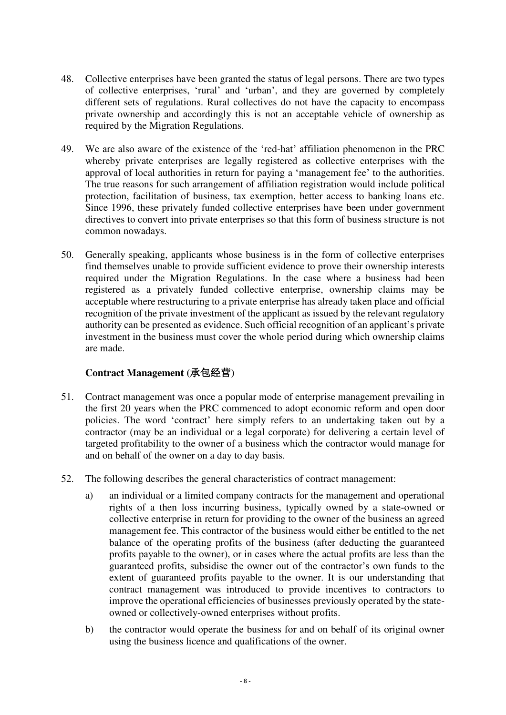- 48. Collective enterprises have been granted the status of legal persons. There are two types of collective enterprises, 'rural' and 'urban', and they are governed by completely different sets of regulations. Rural collectives do not have the capacity to encompass private ownership and accordingly this is not an acceptable vehicle of ownership as required by the Migration Regulations.
- 49. We are also aware of the existence of the 'red-hat' affiliation phenomenon in the PRC whereby private enterprises are legally registered as collective enterprises with the approval of local authorities in return for paying a 'management fee' to the authorities. The true reasons for such arrangement of affiliation registration would include political protection, facilitation of business, tax exemption, better access to banking loans etc. Since 1996, these privately funded collective enterprises have been under government directives to convert into private enterprises so that this form of business structure is not common nowadays.
- 50. Generally speaking, applicants whose business is in the form of collective enterprises find themselves unable to provide sufficient evidence to prove their ownership interests required under the Migration Regulations. In the case where a business had been registered as a privately funded collective enterprise, ownership claims may be acceptable where restructuring to a private enterprise has already taken place and official recognition of the private investment of the applicant as issued by the relevant regulatory authority can be presented as evidence. Such official recognition of an applicant's private investment in the business must cover the whole period during which ownership claims are made.

#### **Contract Management (**承包经营**)**

- <span id="page-10-0"></span>51. Contract management was once a popular mode of enterprise management prevailing in the first 20 years when the PRC commenced to adopt economic reform and open door policies. The word 'contract' here simply refers to an undertaking taken out by a contractor (may be an individual or a legal corporate) for delivering a certain level of targeted profitability to the owner of a business which the contractor would manage for and on behalf of the owner on a day to day basis.
- 52. The following describes the general characteristics of contract management:
	- a) an individual or a limited company contracts for the management and operational rights of a then loss incurring business, typically owned by a state-owned or collective enterprise in return for providing to the owner of the business an agreed management fee. This contractor of the business would either be entitled to the net balance of the operating profits of the business (after deducting the guaranteed profits payable to the owner), or in cases where the actual profits are less than the guaranteed profits, subsidise the owner out of the contractor's own funds to the extent of guaranteed profits payable to the owner. It is our understanding that contract management was introduced to provide incentives to contractors to improve the operational efficiencies of businesses previously operated by the stateowned or collectively-owned enterprises without profits.
	- b) the contractor would operate the business for and on behalf of its original owner using the business licence and qualifications of the owner.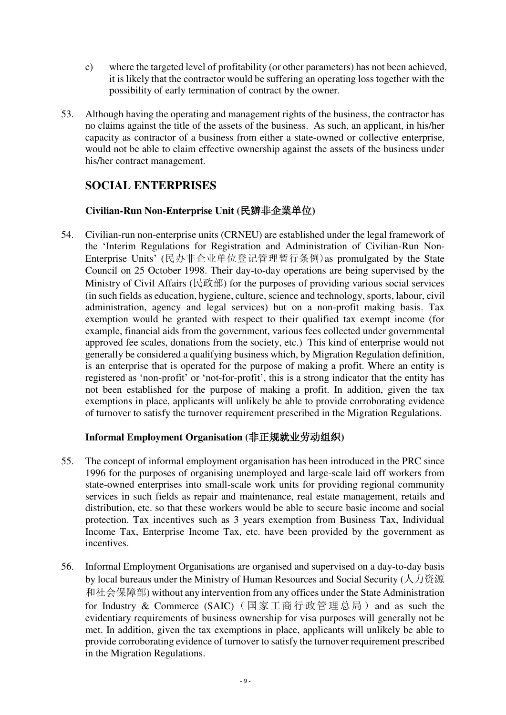- c) where the targeted level of profitability (or other parameters) has not been achieved, it is likely that the contractor would be suffering an operating loss together with the possibility of early termination of contract by the owner.
- 53. Although having the operating and management rights of the business, the contractor has no claims against the title of the assets of the business. As such, an applicant, in his/her capacity as contractor of a business from either a state-owned or collective enterprise, would not be able to claim effective ownership against the assets of the business under his/her contract management.

## <span id="page-11-0"></span>**SOCIAL ENTERPRISES**

#### **Civilian-Run Non-Enterprise Unit (**民辦非企業单位**)**

<span id="page-11-1"></span>54. Civilian-run non-enterprise units (CRNEU) are established under the legal framework of the 'Interim Regulations for Registration and Administration of Civilian-Run Non-Enterprise Units' (民办非企业单位登记管理暂行条例)as promulgated by the State Council on 25 October 1998. Their day-to-day operations are being supervised by the Ministry of Civil Affairs (民政部) for the purposes of providing various social services (in such fields as education, hygiene, culture, science and technology, sports, labour, civil administration, agency and legal services) but on a non-profit making basis. Tax exemption would be granted with respect to their qualified tax exempt income (for example, financial aids from the government, various fees collected under governmental approved fee scales, donations from the society, etc.) This kind of enterprise would not generally be considered a qualifying business which, by Migration Regulation definition, is an enterprise that is operated for the purpose of making a profit. Where an entity is registered as 'non-profit' or 'not-for-profit', this is a strong indicator that the entity has not been established for the purpose of making a profit. In addition, given the tax exemptions in place, applicants will unlikely be able to provide corroborating evidence of turnover to satisfy the turnover requirement prescribed in the Migration Regulations.

#### **Informal Employment Organisation (**非正规就业劳动组织**)**

- <span id="page-11-2"></span>55. The concept of informal employment organisation has been introduced in the PRC since 1996 for the purposes of organising unemployed and large-scale laid off workers from state-owned enterprises into small-scale work units for providing regional community services in such fields as repair and maintenance, real estate management, retails and distribution, etc. so that these workers would be able to secure basic income and social protection. Tax incentives such as 3 years exemption from Business Tax, Individual Income Tax, Enterprise Income Tax, etc. have been provided by the government as incentives.
- 56. Informal Employment Organisations are organised and supervised on a day-to-day basis by local bureaus under the Ministry of Human Resources and Social Security (人力资源 和社会保障部) without any intervention from any offices under the State Administration for Industry & Commerce (SAIC)(国家工商行政管理总局)and as such the evidentiary requirements of business ownership for visa purposes will generally not be met. In addition, given the tax exemptions in place, applicants will unlikely be able to provide corroborating evidence of turnover to satisfy the turnover requirement prescribed in the Migration Regulations.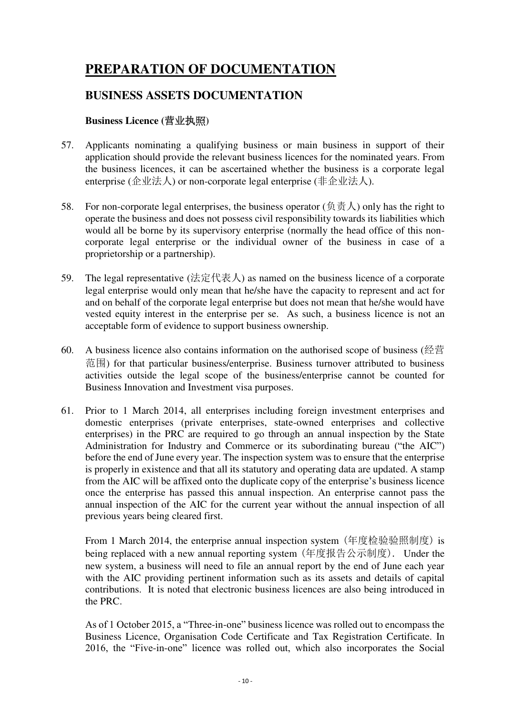## <span id="page-12-0"></span>**PREPARATION OF DOCUMENTATION**

### <span id="page-12-1"></span>**BUSINESS ASSETS DOCUMENTATION**

#### **Business Licence (**营业执照**)**

- <span id="page-12-2"></span>57. Applicants nominating a qualifying business or main business in support of their application should provide the relevant business licences for the nominated years. From the business licences, it can be ascertained whether the business is a corporate legal enterprise (企业法人) or non-corporate legal enterprise (非企业法人).
- 58. For non-corporate legal enterprises, the business operator (负责人) only has the right to operate the business and does not possess civil responsibility towards its liabilities which would all be borne by its supervisory enterprise (normally the head office of this noncorporate legal enterprise or the individual owner of the business in case of a proprietorship or a partnership).
- 59. The legal representative (法定代表人) as named on the business licence of a corporate legal enterprise would only mean that he/she have the capacity to represent and act for and on behalf of the corporate legal enterprise but does not mean that he/she would have vested equity interest in the enterprise per se. As such, a business licence is not an acceptable form of evidence to support business ownership.
- 60. A business licence also contains information on the authorised scope of business (经营 范围) for that particular business/enterprise. Business turnover attributed to business activities outside the legal scope of the business/enterprise cannot be counted for Business Innovation and Investment visa purposes.
- 61. Prior to 1 March 2014, all enterprises including foreign investment enterprises and domestic enterprises (private enterprises, state-owned enterprises and collective enterprises) in the PRC are required to go through an annual inspection by the State Administration for Industry and Commerce or its subordinating bureau ("the AIC") before the end of June every year. The inspection system was to ensure that the enterprise is properly in existence and that all its statutory and operating data are updated. A stamp from the AIC will be affixed onto the duplicate copy of the enterprise's business licence once the enterprise has passed this annual inspection. An enterprise cannot pass the annual inspection of the AIC for the current year without the annual inspection of all previous years being cleared first.

From 1 March 2014, the enterprise annual inspection system (年度检验验照制度) is being replaced with a new annual reporting system (年度报告公示制度). Under the new system, a business will need to file an annual report by the end of June each year with the AIC providing pertinent information such as its assets and details of capital contributions. It is noted that electronic business licences are also being introduced in the PRC.

As of 1 October 2015, a "Three-in-one" business licence was rolled out to encompass the Business Licence, Organisation Code Certificate and Tax Registration Certificate. In 2016, the "Five-in-one" licence was rolled out, which also incorporates the Social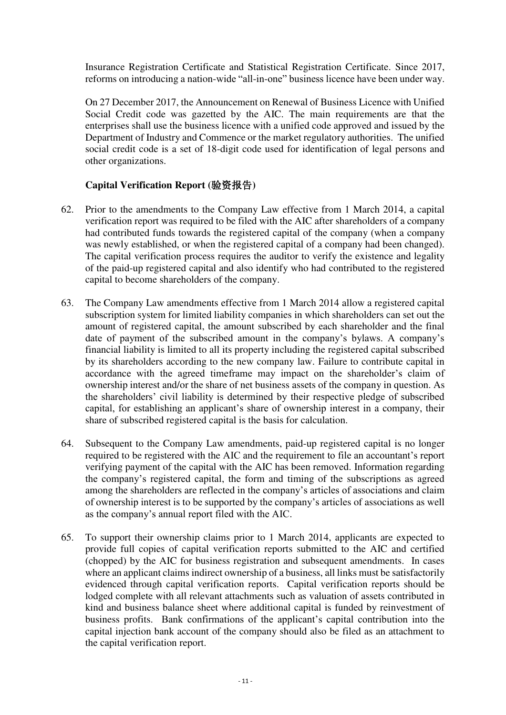Insurance Registration Certificate and Statistical Registration Certificate. Since 2017, reforms on introducing a nation-wide "all-in-one" business licence have been under way.

On 27 December 2017, the Announcement on Renewal of Business Licence with Unified Social Credit code was gazetted by the AIC. The main requirements are that the enterprises shall use the business licence with a unified code approved and issued by the Department of Industry and Commence or the market regulatory authorities. The unified social credit code is a set of 18-digit code used for identification of legal persons and other organizations.

#### **Capital Verification Report (**验资报告**)**

- <span id="page-13-0"></span>62. Prior to the amendments to the Company Law effective from 1 March 2014, a capital verification report was required to be filed with the AIC after shareholders of a company had contributed funds towards the registered capital of the company (when a company was newly established, or when the registered capital of a company had been changed). The capital verification process requires the auditor to verify the existence and legality of the paid-up registered capital and also identify who had contributed to the registered capital to become shareholders of the company.
- 63. The Company Law amendments effective from 1 March 2014 allow a registered capital subscription system for limited liability companies in which shareholders can set out the amount of registered capital, the amount subscribed by each shareholder and the final date of payment of the subscribed amount in the company's bylaws. A company's financial liability is limited to all its property including the registered capital subscribed by its shareholders according to the new company law. Failure to contribute capital in accordance with the agreed timeframe may impact on the shareholder's claim of ownership interest and/or the share of net business assets of the company in question. As the shareholders' civil liability is determined by their respective pledge of subscribed capital, for establishing an applicant's share of ownership interest in a company, their share of subscribed registered capital is the basis for calculation.
- 64. Subsequent to the Company Law amendments, paid-up registered capital is no longer required to be registered with the AIC and the requirement to file an accountant's report verifying payment of the capital with the AIC has been removed. Information regarding the company's registered capital, the form and timing of the subscriptions as agreed among the shareholders are reflected in the company's articles of associations and claim of ownership interest is to be supported by the company's articles of associations as well as the company's annual report filed with the AIC.
- 65. To support their ownership claims prior to 1 March 2014, applicants are expected to provide full copies of capital verification reports submitted to the AIC and certified (chopped) by the AIC for business registration and subsequent amendments. In cases where an applicant claims indirect ownership of a business, all links must be satisfactorily evidenced through capital verification reports. Capital verification reports should be lodged complete with all relevant attachments such as valuation of assets contributed in kind and business balance sheet where additional capital is funded by reinvestment of business profits. Bank confirmations of the applicant's capital contribution into the capital injection bank account of the company should also be filed as an attachment to the capital verification report.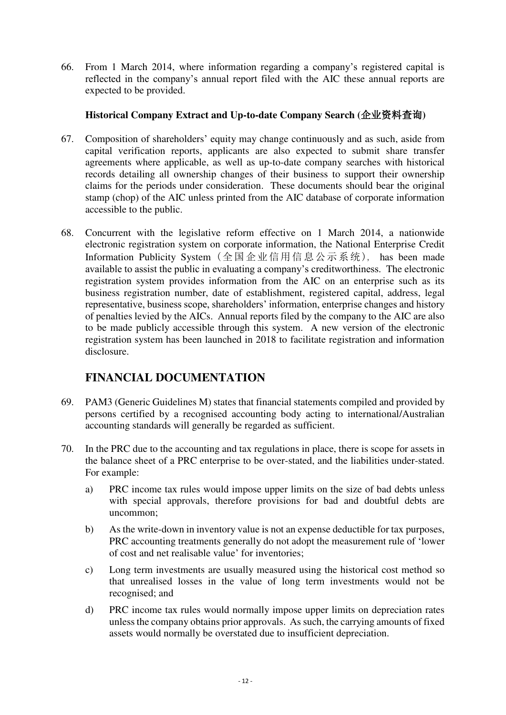66. From 1 March 2014, where information regarding a company's registered capital is reflected in the company's annual report filed with the AIC these annual reports are expected to be provided.

#### **Historical Company Extract and Up-to-date Company Search (**企业资料查询**)**

- <span id="page-14-0"></span>67. Composition of shareholders' equity may change continuously and as such, aside from capital verification reports, applicants are also expected to submit share transfer agreements where applicable, as well as up-to-date company searches with historical records detailing all ownership changes of their business to support their ownership claims for the periods under consideration. These documents should bear the original stamp (chop) of the AIC unless printed from the AIC database of corporate information accessible to the public.
- 68. Concurrent with the legislative reform effective on 1 March 2014, a nationwide electronic registration system on corporate information, the National Enterprise Credit Information Publicity System (全国企业信用信息公示系统), has been made available to assist the public in evaluating a company's creditworthiness. The electronic registration system provides information from the AIC on an enterprise such as its business registration number, date of establishment, registered capital, address, legal representative, business scope, shareholders' information, enterprise changes and history of penalties levied by the AICs. Annual reports filed by the company to the AIC are also to be made publicly accessible through this system. A new version of the electronic registration system has been launched in 2018 to facilitate registration and information disclosure.

### **FINANCIAL DOCUMENTATION**

- <span id="page-14-1"></span>69. PAM3 (Generic Guidelines M) states that financial statements compiled and provided by persons certified by a recognised accounting body acting to international/Australian accounting standards will generally be regarded as sufficient.
- 70. In the PRC due to the accounting and tax regulations in place, there is scope for assets in the balance sheet of a PRC enterprise to be over-stated, and the liabilities under-stated. For example:
	- a) PRC income tax rules would impose upper limits on the size of bad debts unless with special approvals, therefore provisions for bad and doubtful debts are uncommon;
	- b) As the write-down in inventory value is not an expense deductible for tax purposes, PRC accounting treatments generally do not adopt the measurement rule of 'lower of cost and net realisable value' for inventories;
	- c) Long term investments are usually measured using the historical cost method so that unrealised losses in the value of long term investments would not be recognised; and
	- d) PRC income tax rules would normally impose upper limits on depreciation rates unless the company obtains prior approvals. As such, the carrying amounts of fixed assets would normally be overstated due to insufficient depreciation.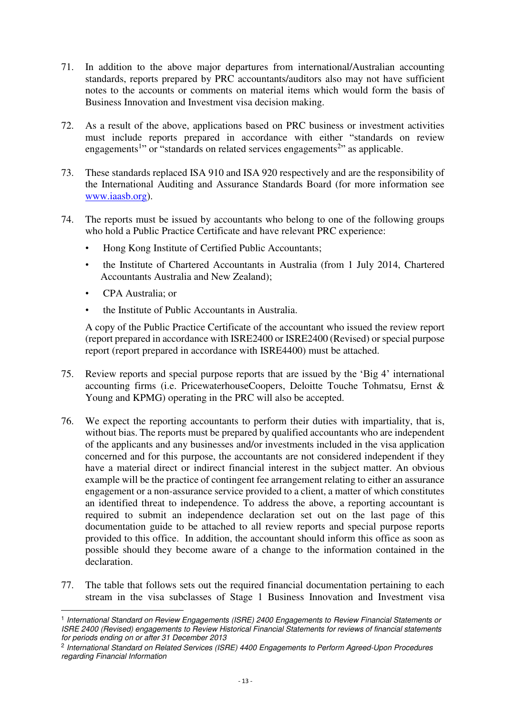- 71. In addition to the above major departures from international/Australian accounting standards, reports prepared by PRC accountants/auditors also may not have sufficient notes to the accounts or comments on material items which would form the basis of Business Innovation and Investment visa decision making.
- 72. As a result of the above, applications based on PRC business or investment activities must include reports prepared in accordance with either "standards on review engagements<sup>1</sup>" or "standards on related services engagements<sup>2</sup>" as applicable.
- 73. These standards replaced ISA 910 and ISA 920 respectively and are the responsibility of the International Auditing and Assurance Standards Board (for more information see [www.i](http://www./)aasb.org).
- 74. The reports must be issued by accountants who belong to one of the following groups who hold a Public Practice Certificate and have relevant PRC experience:
	- Hong Kong Institute of Certified Public Accountants;
	- the Institute of Chartered Accountants in Australia (from 1 July 2014, Chartered Accountants Australia and New Zealand);
	- CPA Australia; or

<u>.</u>

• the Institute of Public Accountants in Australia.

A copy of the Public Practice Certificate of the accountant who issued the review report (report prepared in accordance with ISRE2400 or ISRE2400 (Revised) or special purpose report (report prepared in accordance with ISRE4400) must be attached.

- 75. Review reports and special purpose reports that are issued by the 'Big 4' international accounting firms (i.e. [PricewaterhouseCoopers,](http://en.wikipedia.org/wiki/PricewaterhouseCoopers) [Deloitte Touche Tohmatsu](http://en.wikipedia.org/wiki/Deloitte_Touche_Tohmatsu), [Ernst &](http://en.wikipedia.org/wiki/Ernst_%26_Young)  [Young](http://en.wikipedia.org/wiki/Ernst_%26_Young) and KPMG) operating in the PRC will also be accepted.
- 76. We expect the reporting accountants to perform their duties with impartiality, that is, without bias. The reports must be prepared by qualified accountants who are independent of the applicants and any businesses and/or investments included in the visa application concerned and for this purpose, the accountants are not considered independent if they have a material direct or indirect financial interest in the subject matter. An obvious example will be the practice of contingent fee arrangement relating to either an assurance engagement or a non-assurance service provided to a client, a matter of which constitutes an identified threat to independence. To address the above, a reporting accountant is required to submit an independence declaration set out on the last page of this documentation guide to be attached to all review reports and special purpose reports provided to this office. In addition, the accountant should inform this office as soon as possible should they become aware of a change to the information contained in the declaration.
- 77. The table that follows sets out the required financial documentation pertaining to each stream in the visa subclasses of Stage 1 Business Innovation and Investment visa

<sup>&</sup>lt;sup>1</sup> International Standard on Review Engagements (ISRE) 2400 Engagements to Review Financial Statements or ISRE 2400 (Revised) engagements to Review Historical Financial Statements for reviews of financial statements for periods ending on or after 31 December 2013

<sup>&</sup>lt;sup>2</sup> International Standard on Related Services (ISRE) 4400 Engagements to Perform Agreed-Upon Procedures regarding Financial Information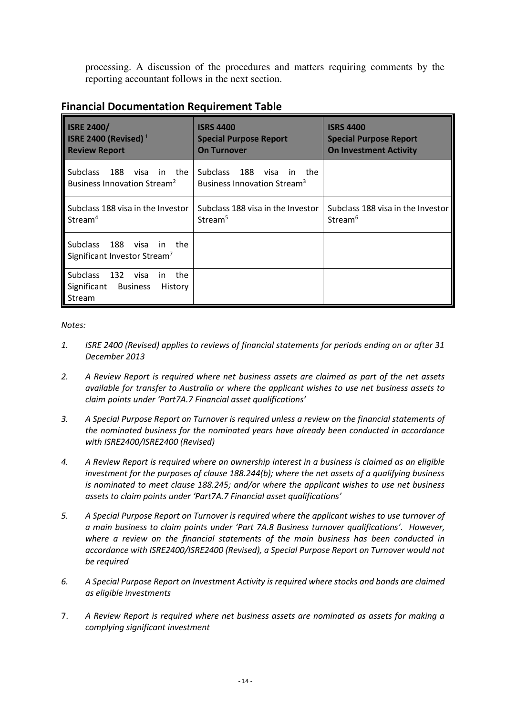processing. A discussion of the procedures and matters requiring comments by the reporting accountant follows in the next section.

| <b>Financial Documentation Requirement Table</b> |
|--------------------------------------------------|
|--------------------------------------------------|

| <b>ISRE 2400/</b><br>ISRE 2400 (Revised) $1$<br><b>Review Report</b>                                | <b>ISRS 4400</b><br><b>Special Purpose Report</b><br><b>On Turnover</b>         | <b>ISRS 4400</b><br><b>Special Purpose Report</b><br><b>On Investment Activity</b> |
|-----------------------------------------------------------------------------------------------------|---------------------------------------------------------------------------------|------------------------------------------------------------------------------------|
| <b>Subclass</b><br>188<br>in the<br>visa<br>Business Innovation Stream <sup>2</sup>                 | Subclass<br>188<br>visa<br>in<br>the<br>Business Innovation Stream <sup>3</sup> |                                                                                    |
| Subclass 188 visa in the Investor<br>Stream <sup>4</sup>                                            | Subclass 188 visa in the Investor<br>Stream <sup>5</sup>                        | Subclass 188 visa in the Investor<br>Stream <sup>6</sup>                           |
| Subclass<br>- 188<br>in the<br>visa<br>Significant Investor Stream <sup>7</sup>                     |                                                                                 |                                                                                    |
| <b>Subclass</b><br>the<br>132<br>visa<br>in.<br>Significant<br><b>Business</b><br>History<br>Stream |                                                                                 |                                                                                    |

#### *Notes:*

- *1. ISRE 2400 (Revised) applies to reviews of financial statements for periods ending on or after 31 December 2013*
- *2. A Review Report is required where net business assets are claimed as part of the net assets available for transfer to Australia or where the applicant wishes to use net business assets to claim points under 'Part7A.7 Financial asset qualifications'*
- *3. A Special Purpose Report on Turnover is required unless a review on the financial statements of the nominated business for the nominated years have already been conducted in accordance with ISRE2400/ISRE2400 (Revised)*
- *4. A Review Report is required where an ownership interest in a business is claimed as an eligible investment for the purposes of clause 188.244(b); where the net assets of a qualifying business is nominated to meet clause 188.245; and/or where the applicant wishes to use net business assets to claim points under 'Part7A.7 Financial asset qualifications'*
- *5. A Special Purpose Report on Turnover is required where the applicant wishes to use turnover of a main business to claim points under 'Part 7A.8 Business turnover qualifications'. However, where a review on the financial statements of the main business has been conducted in accordance with ISRE2400/ISRE2400 (Revised), a Special Purpose Report on Turnover would not be required*
- *6. A Special Purpose Report on Investment Activity is required where stocks and bonds are claimed as eligible investments*
- 7. *A Review Report is required where net business assets are nominated as assets for making a complying significant investment*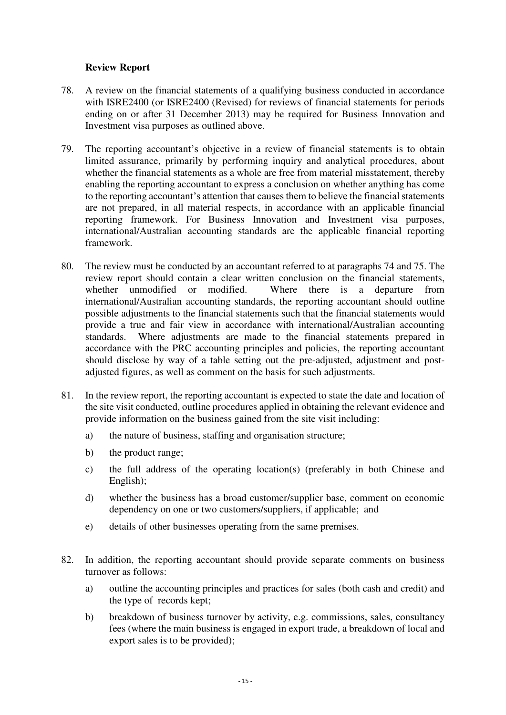#### **Review Report**

- <span id="page-17-0"></span>78. A review on the financial statements of a qualifying business conducted in accordance with ISRE2400 (or ISRE2400 (Revised) for reviews of financial statements for periods ending on or after 31 December 2013) may be required for Business Innovation and Investment visa purposes as outlined above.
- 79. The reporting accountant's objective in a review of financial statements is to obtain limited assurance, primarily by performing inquiry and analytical procedures, about whether the financial statements as a whole are free from material misstatement, thereby enabling the reporting accountant to express a conclusion on whether anything has come to the reporting accountant's attention that causes them to believe the financial statements are not prepared, in all material respects, in accordance with an applicable financial reporting framework. For Business Innovation and Investment visa purposes, international/Australian accounting standards are the applicable financial reporting framework.
- 80. The review must be conducted by an accountant referred to at paragraphs 74 and 75. The review report should contain a clear written conclusion on the financial statements, whether unmodified or modified. Where there is a departure from international/Australian accounting standards, the reporting accountant should outline possible adjustments to the financial statements such that the financial statements would provide a true and fair view in accordance with international/Australian accounting standards. Where adjustments are made to the financial statements prepared in accordance with the PRC accounting principles and policies, the reporting accountant should disclose by way of a table setting out the pre-adjusted, adjustment and postadjusted figures, as well as comment on the basis for such adjustments.
- 81. In the review report, the reporting accountant is expected to state the date and location of the site visit conducted, outline procedures applied in obtaining the relevant evidence and provide information on the business gained from the site visit including:
	- a) the nature of business, staffing and organisation structure;
	- b) the product range;
	- c) the full address of the operating location(s) (preferably in both Chinese and English);
	- d) whether the business has a broad customer/supplier base, comment on economic dependency on one or two customers/suppliers, if applicable; and
	- e) details of other businesses operating from the same premises.
- 82. In addition, the reporting accountant should provide separate comments on business turnover as follows:
	- a) outline the accounting principles and practices for sales (both cash and credit) and the type of records kept;
	- b) breakdown of business turnover by activity, e.g. commissions, sales, consultancy fees (where the main business is engaged in export trade, a breakdown of local and export sales is to be provided);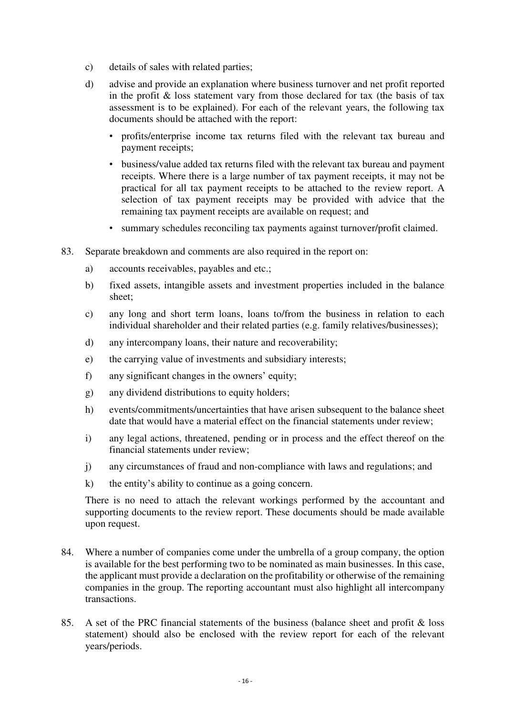- c) details of sales with related parties;
- d) advise and provide an explanation where business turnover and net profit reported in the profit & loss statement vary from those declared for tax (the basis of tax assessment is to be explained). For each of the relevant years, the following tax documents should be attached with the report:
	- profits/enterprise income tax returns filed with the relevant tax bureau and payment receipts;
	- business/value added tax returns filed with the relevant tax bureau and payment receipts. Where there is a large number of tax payment receipts, it may not be practical for all tax payment receipts to be attached to the review report. A selection of tax payment receipts may be provided with advice that the remaining tax payment receipts are available on request; and
	- summary schedules reconciling tax payments against turnover/profit claimed.
- 83. Separate breakdown and comments are also required in the report on:
	- a) accounts receivables, payables and etc.;
	- b) fixed assets, intangible assets and investment properties included in the balance sheet;
	- c) any long and short term loans, loans to/from the business in relation to each individual shareholder and their related parties (e.g. family relatives/businesses);
	- d) any intercompany loans, their nature and recoverability;
	- e) the carrying value of investments and subsidiary interests;
	- f) any significant changes in the owners' equity;
	- g) any dividend distributions to equity holders;
	- h) events/commitments/uncertainties that have arisen subsequent to the balance sheet date that would have a material effect on the financial statements under review;
	- i) any legal actions, threatened, pending or in process and the effect thereof on the financial statements under review;
	- j) any circumstances of fraud and non-compliance with laws and regulations; and
	- k) the entity's ability to continue as a going concern.

There is no need to attach the relevant workings performed by the accountant and supporting documents to the review report. These documents should be made available upon request.

- 84. Where a number of companies come under the umbrella of a group company, the option is available for the best performing two to be nominated as main businesses. In this case, the applicant must provide a declaration on the profitability or otherwise of the remaining companies in the group. The reporting accountant must also highlight all intercompany transactions.
- 85. A set of the PRC financial statements of the business (balance sheet and profit & loss statement) should also be enclosed with the review report for each of the relevant years/periods.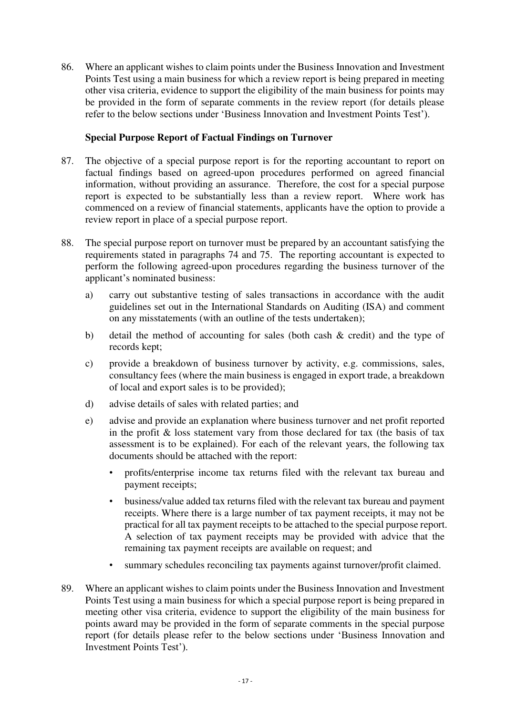86. Where an applicant wishes to claim points under the Business Innovation and Investment Points Test using a main business for which a review report is being prepared in meeting other visa criteria, evidence to support the eligibility of the main business for points may be provided in the form of separate comments in the review report (for details please refer to the below sections under 'Business Innovation and Investment Points Test').

#### **Special Purpose Report of Factual Findings on Turnover**

- <span id="page-19-0"></span>87. The objective of a special purpose report is for the reporting accountant to report on factual findings based on agreed-upon procedures performed on agreed financial information, without providing an assurance. Therefore, the cost for a special purpose report is expected to be substantially less than a review report. Where work has commenced on a review of financial statements, applicants have the option to provide a review report in place of a special purpose report.
- 88. The special purpose report on turnover must be prepared by an accountant satisfying the requirements stated in paragraphs 74 and 75. The reporting accountant is expected to perform the following agreed-upon procedures regarding the business turnover of the applicant's nominated business:
	- a) carry out substantive testing of sales transactions in accordance with the audit guidelines set out in the International Standards on Auditing (ISA) and comment on any misstatements (with an outline of the tests undertaken);
	- b) detail the method of accounting for sales (both cash & credit) and the type of records kept;
	- c) provide a breakdown of business turnover by activity, e.g. commissions, sales, consultancy fees (where the main business is engaged in export trade, a breakdown of local and export sales is to be provided);
	- d) advise details of sales with related parties; and
	- e) advise and provide an explanation where business turnover and net profit reported in the profit  $\&$  loss statement vary from those declared for tax (the basis of tax assessment is to be explained). For each of the relevant years, the following tax documents should be attached with the report:
		- profits/enterprise income tax returns filed with the relevant tax bureau and payment receipts;
		- business/value added tax returns filed with the relevant tax bureau and payment receipts. Where there is a large number of tax payment receipts, it may not be practical for all tax payment receipts to be attached to the special purpose report. A selection of tax payment receipts may be provided with advice that the remaining tax payment receipts are available on request; and
		- summary schedules reconciling tax payments against turnover/profit claimed.
- 89. Where an applicant wishes to claim points under the Business Innovation and Investment Points Test using a main business for which a special purpose report is being prepared in meeting other visa criteria, evidence to support the eligibility of the main business for points award may be provided in the form of separate comments in the special purpose report (for details please refer to the below sections under 'Business Innovation and Investment Points Test').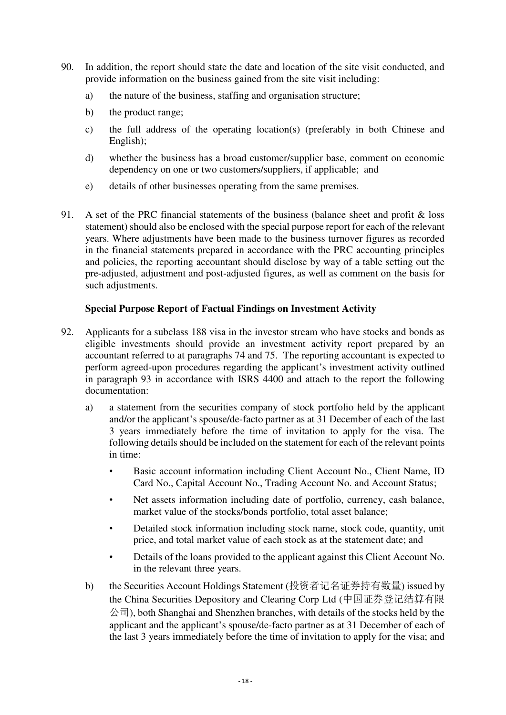- 90. In addition, the report should state the date and location of the site visit conducted, and provide information on the business gained from the site visit including:
	- a) the nature of the business, staffing and organisation structure;
	- b) the product range;
	- c) the full address of the operating location(s) (preferably in both Chinese and English);
	- d) whether the business has a broad customer/supplier base, comment on economic dependency on one or two customers/suppliers, if applicable; and
	- e) details of other businesses operating from the same premises.
- 91. A set of the PRC financial statements of the business (balance sheet and profit & loss statement) should also be enclosed with the special purpose report for each of the relevant years. Where adjustments have been made to the business turnover figures as recorded in the financial statements prepared in accordance with the PRC accounting principles and policies, the reporting accountant should disclose by way of a table setting out the pre-adjusted, adjustment and post-adjusted figures, as well as comment on the basis for such adjustments.

#### **Special Purpose Report of Factual Findings on Investment Activity**

- <span id="page-20-0"></span>92. Applicants for a subclass 188 visa in the investor stream who have stocks and bonds as eligible investments should provide an investment activity report prepared by an accountant referred to at paragraphs 74 and 75. The reporting accountant is expected to perform agreed-upon procedures regarding the applicant's investment activity outlined in paragraph 93 in accordance with ISRS 4400 and attach to the report the following documentation:
	- a) a statement from the securities company of stock portfolio held by the applicant and/or the applicant's spouse/de-facto partner as at 31 December of each of the last 3 years immediately before the time of invitation to apply for the visa. The following details should be included on the statement for each of the relevant points in time:
		- Basic account information including Client Account No., Client Name, ID Card No., Capital Account No., Trading Account No. and Account Status;
		- Net assets information including date of portfolio, currency, cash balance, market value of the stocks/bonds portfolio, total asset balance;
		- Detailed stock information including stock name, stock code, quantity, unit price, and total market value of each stock as at the statement date; and
		- Details of the loans provided to the applicant against this Client Account No. in the relevant three years.
	- b) the Securities Account Holdings Statement (投资者记名证券持有数量) issued by the China Securities Depository and Clearing Corp Ltd (中国证券登记结算有限  $\langle \hat{\triangle} \vec{\tau} |$ ), both Shanghai and Shenzhen branches, with details of the stocks held by the applicant and the applicant's spouse/de-facto partner as at 31 December of each of the last 3 years immediately before the time of invitation to apply for the visa; and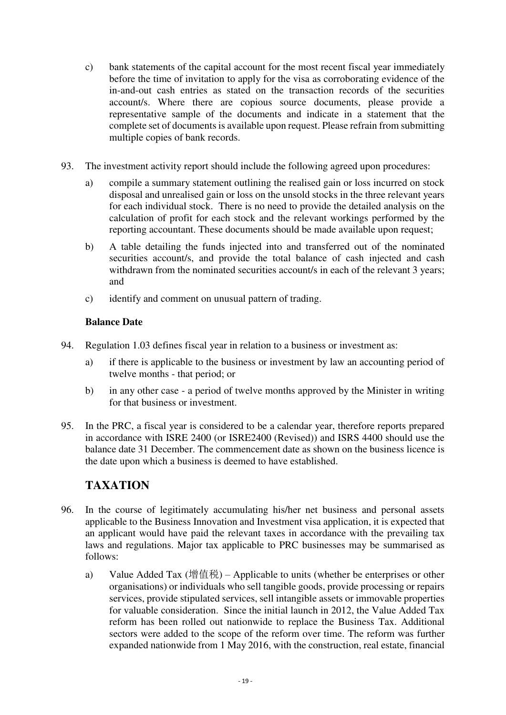- c) bank statements of the capital account for the most recent fiscal year immediately before the time of invitation to apply for the visa as corroborating evidence of the in-and-out cash entries as stated on the transaction records of the securities account/s. Where there are copious source documents, please provide a representative sample of the documents and indicate in a statement that the complete set of documents is available upon request. Please refrain from submitting multiple copies of bank records.
- 93. The investment activity report should include the following agreed upon procedures:
	- a) compile a summary statement outlining the realised gain or loss incurred on stock disposal and unrealised gain or loss on the unsold stocks in the three relevant years for each individual stock. There is no need to provide the detailed analysis on the calculation of profit for each stock and the relevant workings performed by the reporting accountant. These documents should be made available upon request;
	- b) A table detailing the funds injected into and transferred out of the nominated securities account/s, and provide the total balance of cash injected and cash withdrawn from the nominated securities account/s in each of the relevant 3 years; and
	- c) identify and comment on unusual pattern of trading.

#### **Balance Date**

- <span id="page-21-0"></span>94. Regulation 1.03 defines fiscal year in relation to a business or investment as:
	- a) if there is applicable to the business or investment by law an accounting period of twelve months - that period; or
	- b) in any other case a period of twelve months approved by the Minister in writing for that business or investment.
- 95. In the PRC, a fiscal year is considered to be a calendar year, therefore reports prepared in accordance with ISRE 2400 (or ISRE2400 (Revised)) and ISRS 4400 should use the balance date 31 December. The commencement date as shown on the business licence is the date upon which a business is deemed to have established.

## **TAXATION**

- <span id="page-21-1"></span>96. In the course of legitimately accumulating his/her net business and personal assets applicable to the Business Innovation and Investment visa application, it is expected that an applicant would have paid the relevant taxes in accordance with the prevailing tax laws and regulations. Major tax applicable to PRC businesses may be summarised as follows:
	- a) Value Added Tax (增值税) Applicable to units (whether be enterprises or other organisations) or individuals who sell tangible goods, provide processing or repairs services, provide stipulated services, sell intangible assets or immovable properties for valuable consideration. Since the initial launch in 2012, the Value Added Tax reform has been rolled out nationwide to replace the Business Tax. Additional sectors were added to the scope of the reform over time. The reform was further expanded nationwide from 1 May 2016, with the construction, real estate, financial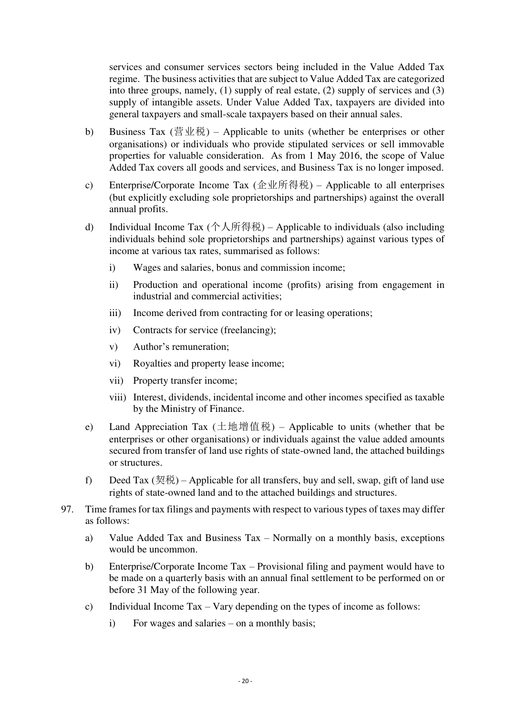services and consumer services sectors being included in the Value Added Tax regime. The business activities that are subject to Value Added Tax are categorized into three groups, namely, (1) supply of real estate, (2) supply of services and (3) supply of intangible assets. Under Value Added Tax, taxpayers are divided into general taxpayers and small-scale taxpayers based on their annual sales.

- b) Business Tax (营业税) Applicable to units (whether be enterprises or other organisations) or individuals who provide stipulated services or sell immovable properties for valuable consideration. As from 1 May 2016, the scope of Value Added Tax covers all goods and services, and Business Tax is no longer imposed.
- c) Enterprise/Corporate Income Tax (企业所得税) Applicable to all enterprises (but explicitly excluding sole proprietorships and partnerships) against the overall annual profits.
- d) Individual Income Tax (个人所得税) Applicable to individuals (also including individuals behind sole proprietorships and partnerships) against various types of income at various tax rates, summarised as follows:
	- i) Wages and salaries, bonus and commission income;
	- ii) Production and operational income (profits) arising from engagement in industrial and commercial activities;
	- iii) Income derived from contracting for or leasing operations;
	- iv) Contracts for service (freelancing);
	- v) Author's remuneration;
	- vi) Royalties and property lease income;
	- vii) Property transfer income;
	- viii) Interest, dividends, incidental income and other incomes specified as taxable by the Ministry of Finance.
- e) Land Appreciation Tax (土地增值税) Applicable to units (whether that be enterprises or other organisations) or individuals against the value added amounts secured from transfer of land use rights of state-owned land, the attached buildings or structures.
- f) Deed Tax  $(\overline{\mathcal{R}}\vec{\mathcal{R}})$  Applicable for all transfers, buy and sell, swap, gift of land use rights of state-owned land and to the attached buildings and structures.
- 97. Time frames for tax filings and payments with respect to various types of taxes may differ as follows:
	- a) Value Added Tax and Business Tax Normally on a monthly basis, exceptions would be uncommon.
	- b) Enterprise/Corporate Income Tax Provisional filing and payment would have to be made on a quarterly basis with an annual final settlement to be performed on or before 31 May of the following year.
	- c) Individual Income Tax Vary depending on the types of income as follows:
		- i) For wages and salaries on a monthly basis;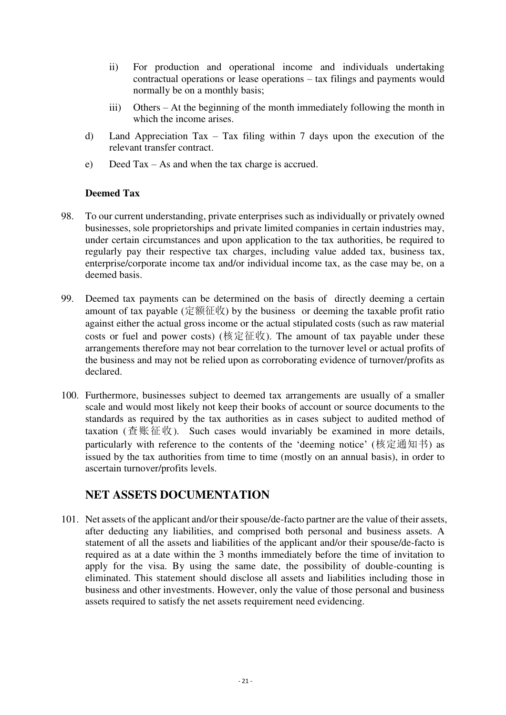- ii) For production and operational income and individuals undertaking contractual operations or lease operations – tax filings and payments would normally be on a monthly basis;
- iii) Others At the beginning of the month immediately following the month in which the income arises.
- d) Land Appreciation Tax Tax filing within 7 days upon the execution of the relevant transfer contract.
- e) Deed Tax As and when the tax charge is accrued.

#### **Deemed Tax**

- <span id="page-23-0"></span>98. To our current understanding, private enterprises such as individually or privately owned businesses, sole proprietorships and private limited companies in certain industries may, under certain circumstances and upon application to the tax authorities, be required to regularly pay their respective tax charges, including value added tax, business tax, enterprise/corporate income tax and/or individual income tax, as the case may be, on a deemed basis.
- 99. Deemed tax payments can be determined on the basis of directly deeming a certain amount of tax payable (定额征收) by the business or deeming the taxable profit ratio against either the actual gross income or the actual stipulated costs (such as raw material costs or fuel and power costs) (核定征收). The amount of tax payable under these arrangements therefore may not bear correlation to the turnover level or actual profits of the business and may not be relied upon as corroborating evidence of turnover/profits as declared.
- 100. Furthermore, businesses subject to deemed tax arrangements are usually of a smaller scale and would most likely not keep their books of account or source documents to the standards as required by the tax authorities as in cases subject to audited method of taxation (查账征收). Such cases would invariably be examined in more details, particularly with reference to the contents of the 'deeming notice' (核定通知书) as issued by the tax authorities from time to time (mostly on an annual basis), in order to ascertain turnover/profits levels.

### <span id="page-23-1"></span>**NET ASSETS DOCUMENTATION**

101. Net assets of the applicant and/or their spouse/de-facto partner are the value of their assets, after deducting any liabilities, and comprised both personal and business assets. A statement of all the assets and liabilities of the applicant and/or their spouse/de-facto is required as at a date within the 3 months immediately before the time of invitation to apply for the visa. By using the same date, the possibility of double-counting is eliminated. This statement should disclose all assets and liabilities including those in business and other investments. However, only the value of those personal and business assets required to satisfy the net assets requirement need evidencing.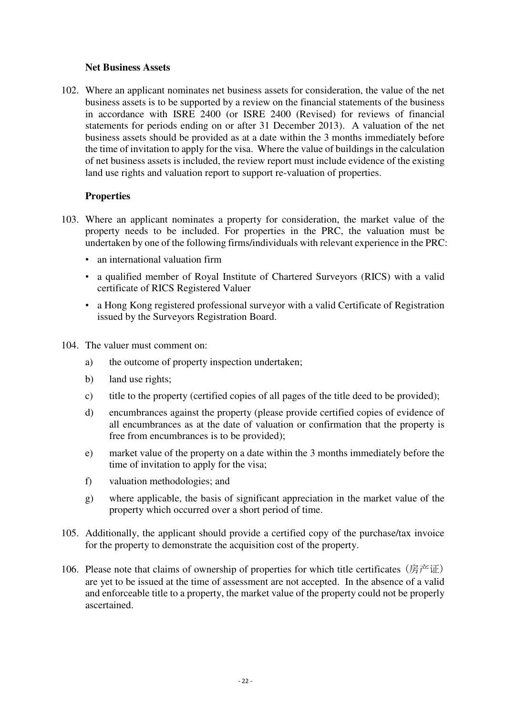#### **Net Business Assets**

<span id="page-24-0"></span>102. Where an applicant nominates net business assets for consideration, the value of the net business assets is to be supported by a review on the financial statements of the business in accordance with ISRE 2400 (or ISRE 2400 (Revised) for reviews of financial statements for periods ending on or after 31 December 2013). A valuation of the net business assets should be provided as at a date within the 3 months immediately before the time of invitation to apply for the visa. Where the value of buildings in the calculation of net business assets is included, the review report must include evidence of the existing land use rights and valuation report to support re-valuation of properties.

#### **Properties**

- <span id="page-24-1"></span>103. Where an applicant nominates a property for consideration, the market value of the property needs to be included. For properties in the PRC, the valuation must be undertaken by one of the following firms/individuals with relevant experience in the PRC:
	- an international valuation firm
	- a qualified member of Royal Institute of Chartered Surveyors (RICS) with a valid certificate of RICS Registered Valuer
	- a Hong Kong registered professional surveyor with a valid Certificate of Registration issued by the Surveyors Registration Board.
- 104. The valuer must comment on:
	- a) the outcome of property inspection undertaken;
	- b) land use rights;
	- c) title to the property (certified copies of all pages of the title deed to be provided);
	- d) encumbrances against the property (please provide certified copies of evidence of all encumbrances as at the date of valuation or confirmation that the property is free from encumbrances is to be provided);
	- e) market value of the property on a date within the 3 months immediately before the time of invitation to apply for the visa;
	- f) valuation methodologies; and
	- g) where applicable, the basis of significant appreciation in the market value of the property which occurred over a short period of time.
- 105. Additionally, the applicant should provide a certified copy of the purchase/tax invoice for the property to demonstrate the acquisition cost of the property.
- 106. Please note that claims of ownership of properties for which title certificates (房产证) are yet to be issued at the time of assessment are not accepted. In the absence of a valid and enforceable title to a property, the market value of the property could not be properly ascertained.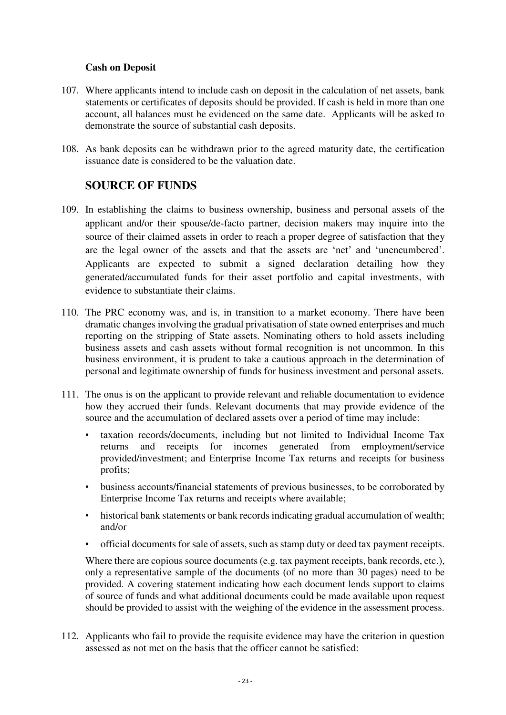#### **Cash on Deposit**

- <span id="page-25-0"></span>107. Where applicants intend to include cash on deposit in the calculation of net assets, bank statements or certificates of deposits should be provided. If cash is held in more than one account, all balances must be evidenced on the same date. Applicants will be asked to demonstrate the source of substantial cash deposits.
- 108. As bank deposits can be withdrawn prior to the agreed maturity date, the certification issuance date is considered to be the valuation date.

#### **SOURCE OF FUNDS**

- <span id="page-25-1"></span>109. In establishing the claims to business ownership, business and personal assets of the applicant and/or their spouse/de-facto partner, decision makers may inquire into the source of their claimed assets in order to reach a proper degree of satisfaction that they are the legal owner of the assets and that the assets are 'net' and 'unencumbered'. Applicants are expected to submit a signed declaration detailing how they generated/accumulated funds for their asset portfolio and capital investments, with evidence to substantiate their claims.
- 110. The PRC economy was, and is, in transition to a market economy. There have been dramatic changes involving the gradual privatisation of state owned enterprises and much reporting on the stripping of State assets. Nominating others to hold assets including business assets and cash assets without formal recognition is not uncommon. In this business environment, it is prudent to take a cautious approach in the determination of personal and legitimate ownership of funds for business investment and personal assets.
- 111. The onus is on the applicant to provide relevant and reliable documentation to evidence how they accrued their funds. Relevant documents that may provide evidence of the source and the accumulation of declared assets over a period of time may include:
	- taxation records/documents, including but not limited to Individual Income Tax returns and receipts for incomes generated from employment/service provided/investment; and Enterprise Income Tax returns and receipts for business profits;
	- business accounts/financial statements of previous businesses, to be corroborated by Enterprise Income Tax returns and receipts where available;
	- historical bank statements or bank records indicating gradual accumulation of wealth; and/or
	- official documents for sale of assets, such as stamp duty or deed tax payment receipts.

Where there are copious source documents (e.g. tax payment receipts, bank records, etc.), only a representative sample of the documents (of no more than 30 pages) need to be provided. A covering statement indicating how each document lends support to claims of source of funds and what additional documents could be made available upon request should be provided to assist with the weighing of the evidence in the assessment process.

112. Applicants who fail to provide the requisite evidence may have the criterion in question assessed as not met on the basis that the officer cannot be satisfied: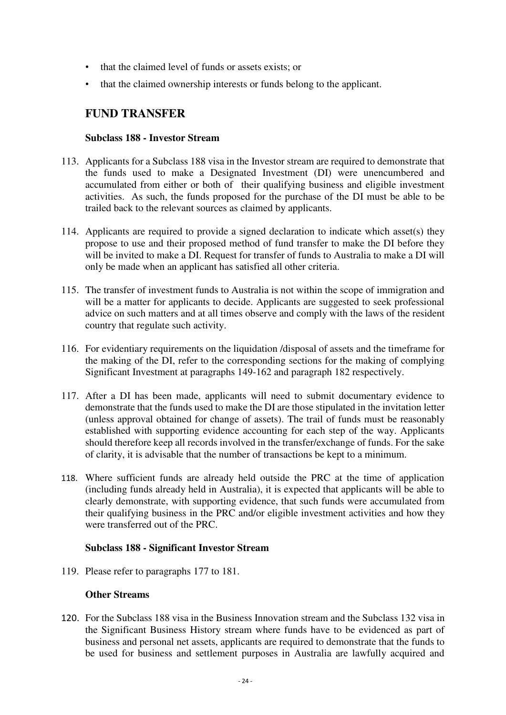- that the claimed level of funds or assets exists; or
- that the claimed ownership interests or funds belong to the applicant.

### <span id="page-26-0"></span>**FUND TRANSFER**

#### **Subclass 188 - Investor Stream**

- <span id="page-26-1"></span>113. Applicants for a Subclass 188 visa in the Investor stream are required to demonstrate that the funds used to make a Designated Investment (DI) were unencumbered and accumulated from either or both of their qualifying business and eligible investment activities. As such, the funds proposed for the purchase of the DI must be able to be trailed back to the relevant sources as claimed by applicants.
- 114. Applicants are required to provide a signed declaration to indicate which asset(s) they propose to use and their proposed method of fund transfer to make the DI before they will be invited to make a DI. Request for transfer of funds to Australia to make a DI will only be made when an applicant has satisfied all other criteria.
- 115. The transfer of investment funds to Australia is not within the scope of immigration and will be a matter for applicants to decide. Applicants are suggested to seek professional advice on such matters and at all times observe and comply with the laws of the resident country that regulate such activity.
- 116. For evidentiary requirements on the liquidation /disposal of assets and the timeframe for the making of the DI, refer to the corresponding sections for the making of complying Significant Investment at paragraphs 149-162 and paragraph 182 respectively.
- 117. After a DI has been made, applicants will need to submit documentary evidence to demonstrate that the funds used to make the DI are those stipulated in the invitation letter (unless approval obtained for change of assets). The trail of funds must be reasonably established with supporting evidence accounting for each step of the way. Applicants should therefore keep all records involved in the transfer/exchange of funds. For the sake of clarity, it is advisable that the number of transactions be kept to a minimum.
- 118. Where sufficient funds are already held outside the PRC at the time of application (including funds already held in Australia), it is expected that applicants will be able to clearly demonstrate, with supporting evidence, that such funds were accumulated from their qualifying business in the PRC and/or eligible investment activities and how they were transferred out of the PRC.

#### **Subclass 188 - Significant Investor Stream**

<span id="page-26-3"></span><span id="page-26-2"></span>119. Please refer to paragraphs 177 to 181.

#### **Other Streams**

120. For the Subclass 188 visa in the Business Innovation stream and the Subclass 132 visa in the Significant Business History stream where funds have to be evidenced as part of business and personal net assets, applicants are required to demonstrate that the funds to be used for business and settlement purposes in Australia are lawfully acquired and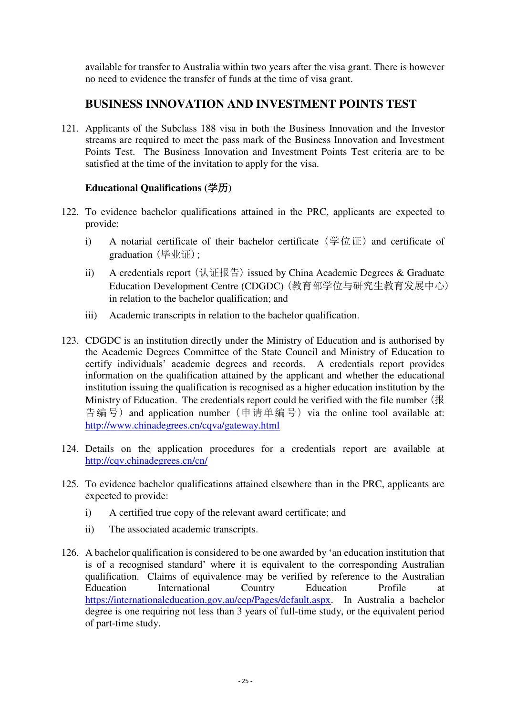available for transfer to Australia within two years after the visa grant. There is however no need to evidence the transfer of funds at the time of visa grant.

## **BUSINESS INNOVATION AND INVESTMENT POINTS TEST**

<span id="page-27-0"></span>121. Applicants of the Subclass 188 visa in both the Business Innovation and the Investor streams are required to meet the pass mark of the Business Innovation and Investment Points Test. The Business Innovation and Investment Points Test criteria are to be satisfied at the time of the invitation to apply for the visa.

#### **Educational Qualifications (**学历**)**

- <span id="page-27-1"></span>122. To evidence bachelor qualifications attained in the PRC, applicants are expected to provide:
	- i) A notarial certificate of their bachelor certificate  $(\frac{\omega}{2} \hat{w} \cdot \hat{w})$  and certificate of graduation (毕业证);
	- ii) A credentials report (认证报告) issued by China Academic Degrees & Graduate Education Development Centre (CDGDC) (教育部学位与研究生教育发展中心) in relation to the bachelor qualification; and
	- iii) Academic transcripts in relation to the bachelor qualification.
- 123. CDGDC is an institution directly under the Ministry of Education and is authorised by the Academic Degrees Committee of the State Council and Ministry of Education to certify individuals' academic degrees and records. A credentials report provides information on the qualification attained by the applicant and whether the educational institution issuing the qualification is recognised as a higher education institution by the Ministry of Education. The credentials report could be verified with the file number (报 告编号) and application number (申请单编号) via the online tool available at: <http://www.chinadegrees.cn/cqva/gateway.html>
- 124. Details on the application procedures for a credentials report are available at <http://cqv.chinadegrees.cn/cn/>
- 125. To evidence bachelor qualifications attained elsewhere than in the PRC, applicants are expected to provide:
	- i) A certified true copy of the relevant award certificate; and
	- ii) The associated academic transcripts.
- 126. A bachelor qualification is considered to be one awarded by 'an education institution that is of a recognised standard' where it is equivalent to the corresponding Australian qualification. Claims of equivalence may be verified by reference to the Australian Education International Country Education Profile at [https://internationaleducation.gov.au/cep/Pages/default.aspx.](https://internationaleducation.gov.au/cep/Pages/default.aspx) In Australia a bachelor degree is one requiring not less than 3 years of full-time study, or the equivalent period of part-time study.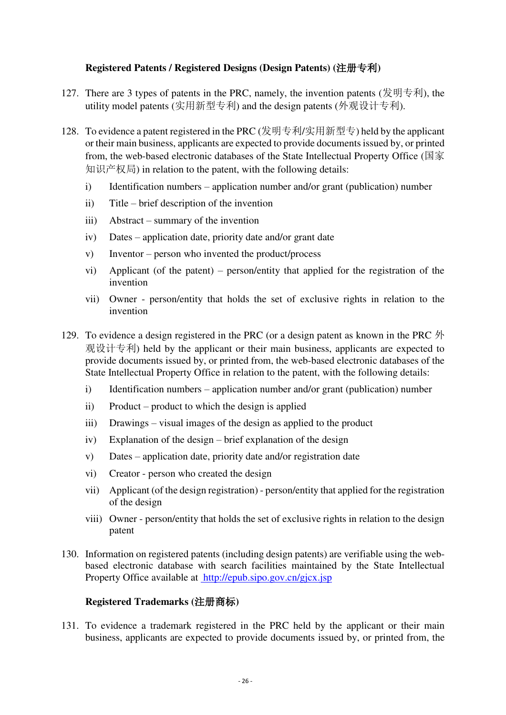#### **Registered Patents / Registered Designs (Design Patents) (**注册专利**)**

- <span id="page-28-0"></span>127. There are 3 types of patents in the PRC, namely, the invention patents (发明专利), the utility model patents (实用新型专利) and the design patents (外观设计专利).
- 128. To evidence a patent registered in the PRC (发明专利/实用新型专) held by the applicant or their main business, applicants are expected to provide documents issued by, or printed from, the web-based electronic databases of the State Intellectual Property Office (国家 知识产权局) in relation to the patent, with the following details:
	- i) Identification numbers application number and/or grant (publication) number
	- ii) Title brief description of the invention
	- iii) Abstract summary of the invention
	- iv) Dates application date, priority date and/or grant date
	- v) Inventor person who invented the product/process
	- vi) Applicant (of the patent) person/entity that applied for the registration of the invention
	- vii) Owner person/entity that holds the set of exclusive rights in relation to the invention
- 129. To evidence a design registered in the PRC (or a design patent as known in the PRC 外 观设计专利) held by the applicant or their main business, applicants are expected to provide documents issued by, or printed from, the web-based electronic databases of the State Intellectual Property Office in relation to the patent, with the following details:
	- i) Identification numbers application number and/or grant (publication) number
	- ii) Product product to which the design is applied
	- iii) Drawings visual images of the design as applied to the product
	- iv) Explanation of the design brief explanation of the design
	- v) Dates application date, priority date and/or registration date
	- vi) Creator person who created the design
	- vii) Applicant (of the design registration) person/entity that applied for the registration of the design
	- viii) Owner person/entity that holds the set of exclusive rights in relation to the design patent
- 130. Information on registered patents (including design patents) are verifiable using the webbased electronic database with search facilities maintained by the State Intellectual Property Office available at http://epub.sipo.gov.cn/gjcx.jsp

#### **Registered Trademarks (**注册商标**)**

<span id="page-28-1"></span>131. To evidence a trademark registered in the PRC held by the applicant or their main business, applicants are expected to provide documents issued by, or printed from, the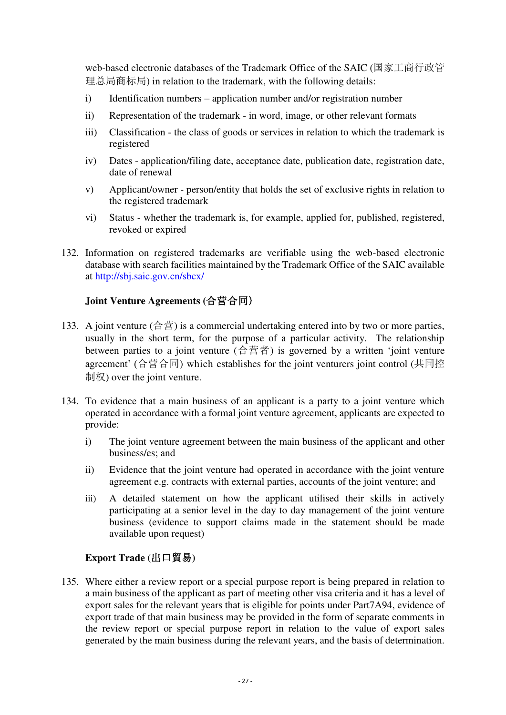web-based electronic databases of the Trademark Office of the SAIC (国家工商行政管 理总局商标局) in relation to the trademark, with the following details:

- i) Identification numbers application number and/or registration number
- ii) Representation of the trademark in word, image, or other relevant formats
- iii) Classification the class of goods or services in relation to which the trademark is registered
- iv) Dates application/filing date, acceptance date, publication date, registration date, date of renewal
- v) Applicant/owner person/entity that holds the set of exclusive rights in relation to the registered trademark
- vi) Status whether the trademark is, for example, applied for, published, registered, revoked or expired
- 132. Information on registered trademarks are verifiable using the web-based electronic database with search facilities maintained by the Trademark Office of the SAIC available at<http://sbj.saic.gov.cn/sbcx/>

#### <span id="page-29-0"></span>**Joint Venture Agreements (**合营合同)

- 133. A joint venture  $(\hat{\sigma} \vec{\equiv})$  is a commercial undertaking entered into by two or more parties, usually in the short term, for the purpose of a particular activity. The relationship between parties to a joint venture (合营者) is governed by a written 'joint venture agreement' (合营合同) which establishes for the joint venturers joint control (共同控 制权) over the joint venture.
- 134. To evidence that a main business of an applicant is a party to a joint venture which operated in accordance with a formal joint venture agreement, applicants are expected to provide:
	- i) The joint venture agreement between the main business of the applicant and other business/es; and
	- ii) Evidence that the joint venture had operated in accordance with the joint venture agreement e.g. contracts with external parties, accounts of the joint venture; and
	- iii) A detailed statement on how the applicant utilised their skills in actively participating at a senior level in the day to day management of the joint venture business (evidence to support claims made in the statement should be made available upon request)

#### **Export Trade (**出口貿易**)**

<span id="page-29-1"></span>135. Where either a review report or a special purpose report is being prepared in relation to a main business of the applicant as part of meeting other visa criteria and it has a level of export sales for the relevant years that is eligible for points under Part7A94, evidence of export trade of that main business may be provided in the form of separate comments in the review report or special purpose report in relation to the value of export sales generated by the main business during the relevant years, and the basis of determination.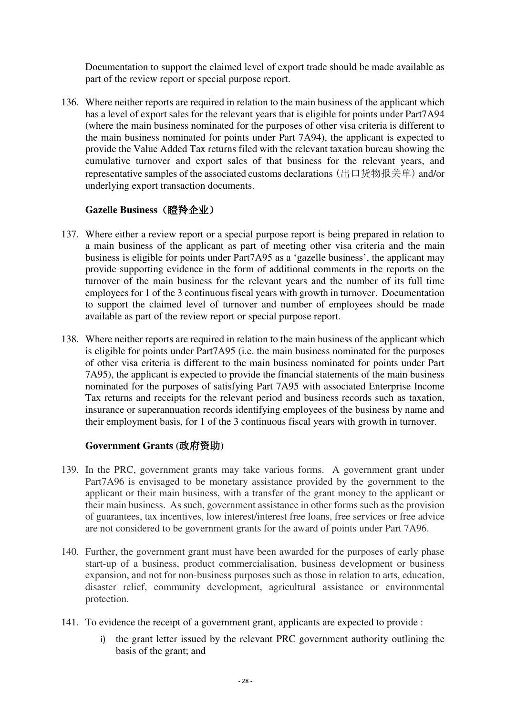Documentation to support the claimed level of export trade should be made available as part of the review report or special purpose report.

136. Where neither reports are required in relation to the main business of the applicant which has a level of export sales for the relevant years that is eligible for points under Part7A94 (where the main business nominated for the purposes of other visa criteria is different to the main business nominated for points under Part 7A94), the applicant is expected to provide the Value Added Tax returns filed with the relevant taxation bureau showing the cumulative turnover and export sales of that business for the relevant years, and representative samples of the associated customs declarations (出口货物报关单) and/or underlying export transaction documents.

#### **Gazelle Business**(瞪羚企业)

- <span id="page-30-0"></span>137. Where either a review report or a special purpose report is being prepared in relation to a main business of the applicant as part of meeting other visa criteria and the main business is eligible for points under Part7A95 as a 'gazelle business', the applicant may provide supporting evidence in the form of additional comments in the reports on the turnover of the main business for the relevant years and the number of its full time employees for 1 of the 3 continuous fiscal years with growth in turnover. Documentation to support the claimed level of turnover and number of employees should be made available as part of the review report or special purpose report.
- 138. Where neither reports are required in relation to the main business of the applicant which is eligible for points under Part7A95 (i.e. the main business nominated for the purposes of other visa criteria is different to the main business nominated for points under Part 7A95), the applicant is expected to provide the financial statements of the main business nominated for the purposes of satisfying Part 7A95 with associated Enterprise Income Tax returns and receipts for the relevant period and business records such as taxation, insurance or superannuation records identifying employees of the business by name and their employment basis, for 1 of the 3 continuous fiscal years with growth in turnover.

#### **Government Grants (**政府资助**)**

- <span id="page-30-1"></span>139. In the PRC, government grants may take various forms. A government grant under Part7A96 is envisaged to be monetary assistance provided by the government to the applicant or their main business, with a transfer of the grant money to the applicant or their main business. As such, government assistance in other forms such as the provision of guarantees, tax incentives, low interest/interest free loans, free services or free advice are not considered to be government grants for the award of points under Part 7A96.
- 140. Further, the government grant must have been awarded for the purposes of early phase start-up of a business, product commercialisation, business development or business expansion, and not for non-business purposes such as those in relation to arts, education, disaster relief, community development, agricultural assistance or environmental protection.
- 141. To evidence the receipt of a government grant, applicants are expected to provide :
	- i) the grant letter issued by the relevant PRC government authority outlining the basis of the grant; and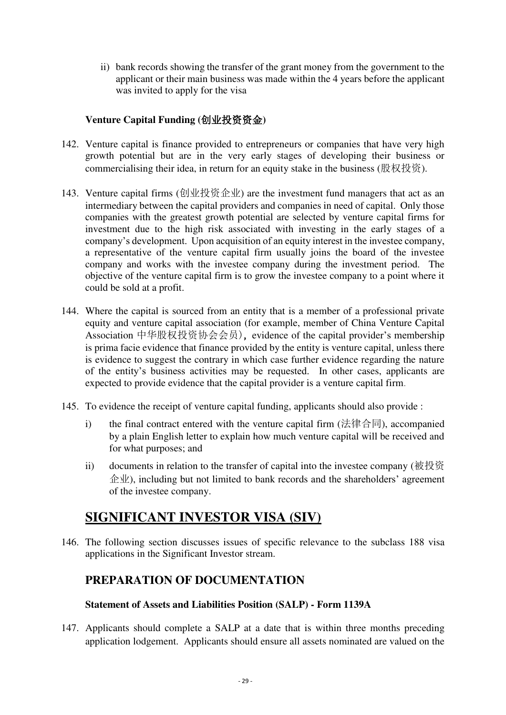ii) bank records showing the transfer of the grant money from the government to the applicant or their main business was made within the 4 years before the applicant was invited to apply for the visa

#### **Venture Capital Funding (**创业投资资金**)**

- <span id="page-31-0"></span>142. Venture capital is finance provided to entrepreneurs or companies that have very high growth potential but are in the very early stages of developing their business or commercialising their idea, in return for an equity stake in the business ([股权投资](http://wiki.mbalib.com/wiki/%E8%82%A1%E6%9D%83%E6%8A%95%E8%B5%84)).
- 143. Venture capital firms (创业投资企业) are the investment fund managers that act as an intermediary between the capital providers and companies in need of capital. Only those companies with the greatest growth potential are selected by venture capital firms for investment due to the high risk associated with investing in the early stages of a company's development. Upon acquisition of an equity interest in the investee company, a representative of the venture capital firm usually joins the board of the investee company and works with the investee company during the investment period. The objective of the venture capital firm is to grow the investee company to a point where it could be sold at a profit.
- 144. Where the capital is sourced from an entity that is a member of a professional private equity and venture capital association (for example, member of China Venture Capital Association 中华股权投资协会会员), evidence of the capital provider's membership is prima facie evidence that finance provided by the entity is venture capital, unless there is evidence to suggest the contrary in which case further evidence regarding the nature of the entity's business activities may be requested. In other cases, applicants are expected to provide evidence that the capital provider is a venture capital firm.
- 145. To evidence the receipt of venture capital funding, applicants should also provide :
	- i) the final contract entered with the venture capital firm (法律合同), accompanied by a plain English letter to explain how much venture capital will be received and for what purposes; and
	- ii) documents in relation to the transfer of capital into the investee company (被投资  $\hat{\mathcal{L}}$  ( $\hat{\mathcal{L}}$ ), including but not limited to bank records and the shareholders' agreement of the investee company.

## <span id="page-31-1"></span>**SIGNIFICANT INVESTOR VISA (SIV)**

146. The following section discusses issues of specific relevance to the subclass 188 visa applications in the Significant Investor stream.

### <span id="page-31-2"></span>**PREPARATION OF DOCUMENTATION**

#### **Statement of Assets and Liabilities Position (SALP) - Form 1139A**

<span id="page-31-3"></span>147. Applicants should complete a SALP at a date that is within three months preceding application lodgement. Applicants should ensure all assets nominated are valued on the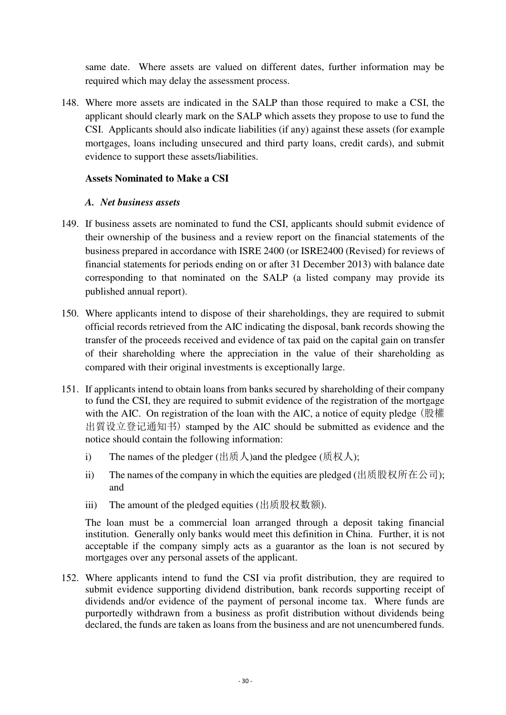same date. Where assets are valued on different dates, further information may be required which may delay the assessment process.

148. Where more assets are indicated in the SALP than those required to make a CSI, the applicant should clearly mark on the SALP which assets they propose to use to fund the CSI. Applicants should also indicate liabilities (if any) against these assets (for example mortgages, loans including unsecured and third party loans, credit cards), and submit evidence to support these assets/liabilities.

#### <span id="page-32-0"></span>**Assets Nominated to Make a CSI**

#### *A. Net business assets*

- 149. If business assets are nominated to fund the CSI, applicants should submit evidence of their ownership of the business and a review report on the financial statements of the business prepared in accordance with ISRE 2400 (or ISRE2400 (Revised) for reviews of financial statements for periods ending on or after 31 December 2013) with balance date corresponding to that nominated on the SALP (a listed company may provide its published annual report).
- 150. Where applicants intend to dispose of their shareholdings, they are required to submit official records retrieved from the AIC indicating the disposal, bank records showing the transfer of the proceeds received and evidence of tax paid on the capital gain on transfer of their shareholding where the appreciation in the value of their shareholding as compared with their original investments is exceptionally large.
- 151. If applicants intend to obtain loans from banks secured by shareholding of their company to fund the CSI, they are required to submit evidence of the registration of the mortgage with the AIC. On registration of the loan with the AIC, a notice of equity pledge (股權 出質设立登记通知书) stamped by the AIC should be submitted as evidence and the notice should contain the following information:
	- i) The names of the pledger (出质人) and the pledgee (质权人);
	- ii) The names of the company in which the equities are pledged (出质股权所在公司); and
	- iii) The amount of the pledged equities (出质股权数额).

The loan must be a commercial loan arranged through a deposit taking financial institution. Generally only banks would meet this definition in China. Further, it is not acceptable if the company simply acts as a guarantor as the loan is not secured by mortgages over any personal assets of the applicant.

152. Where applicants intend to fund the CSI via profit distribution, they are required to submit evidence supporting dividend distribution, bank records supporting receipt of dividends and/or evidence of the payment of personal income tax. Where funds are purportedly withdrawn from a business as profit distribution without dividends being declared, the funds are taken as loans from the business and are not unencumbered funds.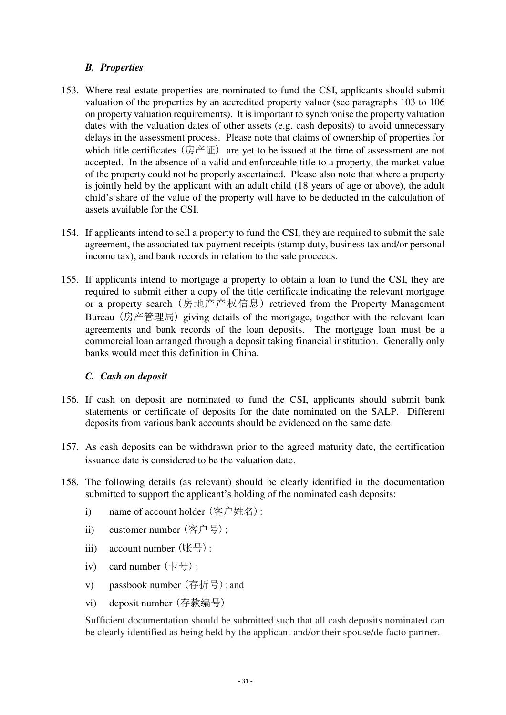#### *B. Properties*

- 153. Where real estate properties are nominated to fund the CSI, applicants should submit valuation of the properties by an accredited property valuer (see paragraphs 103 to 106 on property valuation requirements). It is important to synchronise the property valuation dates with the valuation dates of other assets (e.g. cash deposits) to avoid unnecessary delays in the assessment process. Please note that claims of ownership of properties for which title certificates (房产证) are yet to be issued at the time of assessment are not accepted. In the absence of a valid and enforceable title to a property, the market value of the property could not be properly ascertained. Please also note that where a property is jointly held by the applicant with an adult child (18 years of age or above), the adult child's share of the value of the property will have to be deducted in the calculation of assets available for the CSI.
- 154. If applicants intend to sell a property to fund the CSI, they are required to submit the sale agreement, the associated tax payment receipts (stamp duty, business tax and/or personal income tax), and bank records in relation to the sale proceeds.
- 155. If applicants intend to mortgage a property to obtain a loan to fund the CSI, they are required to submit either a copy of the title certificate indicating the relevant mortgage or a property search (房地产产权信息) retrieved from the Property Management Bureau (房产管理局) giving details of the mortgage, together with the relevant loan agreements and bank records of the loan deposits. The mortgage loan must be a commercial loan arranged through a deposit taking financial institution. Generally only banks would meet this definition in China.

#### *C. Cash on deposit*

- 156. If cash on deposit are nominated to fund the CSI, applicants should submit bank statements or certificate of deposits for the date nominated on the SALP. Different deposits from various bank accounts should be evidenced on the same date.
- 157. As cash deposits can be withdrawn prior to the agreed maturity date, the certification issuance date is considered to be the valuation date.
- 158. The following details (as relevant) should be clearly identified in the documentation submitted to support the applicant's holding of the nominated cash deposits:
	- i) name of account holder (客户姓名);
	- ii) customer number (客户号);
	- iii) account number (账号);
	- iv) card number (卡号);
	- v) passbook number (存折号);and
	- vi) deposit number (存款编号)

Sufficient documentation should be submitted such that all cash deposits nominated can be clearly identified as being held by the applicant and/or their spouse/de facto partner.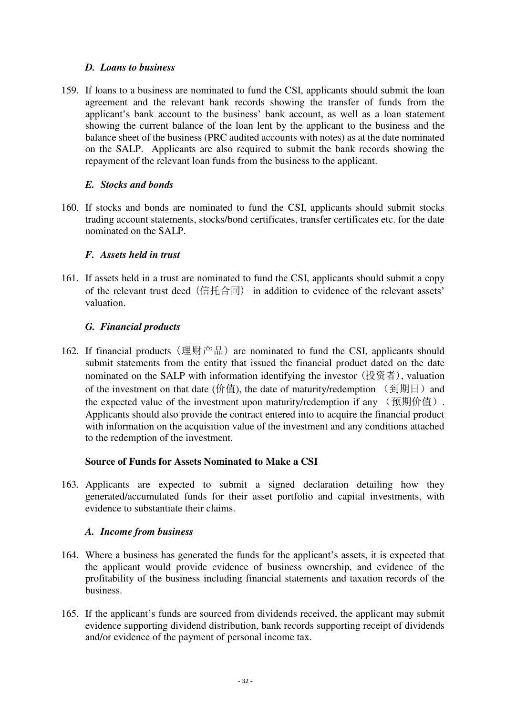#### *D. Loans to business*

159. If loans to a business are nominated to fund the CSI, applicants should submit the loan agreement and the relevant bank records showing the transfer of funds from the applicant's bank account to the business' bank account, as well as a loan statement showing the current balance of the loan lent by the applicant to the business and the balance sheet of the business (PRC audited accounts with notes) as at the date nominated on the SALP. Applicants are also required to submit the bank records showing the repayment of the relevant loan funds from the business to the applicant.

#### *E. Stocks and bonds*

160. If stocks and bonds are nominated to fund the CSI, applicants should submit stocks trading account statements, stocks/bond certificates, transfer certificates etc. for the date nominated on the SALP.

#### *F. Assets held in trust*

161. If assets held in a trust are nominated to fund the CSI, applicants should submit a copy of the relevant trust deed (信托合同) in addition to evidence of the relevant assets' valuation.

#### *G. Financial products*

162. If financial products (理财产品) are nominated to fund the CSI, applicants should submit statements from the entity that issued the financial product dated on the date nominated on the SALP with information identifying the investor (投资者), valuation of the investment on that date (价值), the date of maturity/redemption  $\left(\frac{1}{2}I\right)$  and the expected value of the investment upon maturity/redemption if any  $(\frac{m}{m})$ . Applicants should also provide the contract entered into to acquire the financial product with information on the acquisition value of the investment and any conditions attached to the redemption of the investment.

#### **Source of Funds for Assets Nominated to Make a CSI**

<span id="page-34-0"></span>163. Applicants are expected to submit a signed declaration detailing how they generated/accumulated funds for their asset portfolio and capital investments, with evidence to substantiate their claims.

#### *A. Income from business*

- 164. Where a business has generated the funds for the applicant's assets, it is expected that the applicant would provide evidence of business ownership, and evidence of the profitability of the business including financial statements and taxation records of the business.
- 165. If the applicant's funds are sourced from dividends received, the applicant may submit evidence supporting dividend distribution, bank records supporting receipt of dividends and/or evidence of the payment of personal income tax.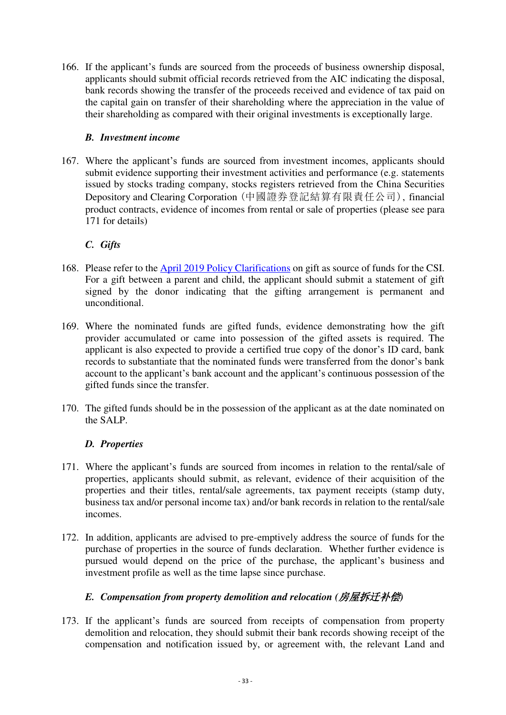166. If the applicant's funds are sourced from the proceeds of business ownership disposal, applicants should submit official records retrieved from the AIC indicating the disposal, bank records showing the transfer of the proceeds received and evidence of tax paid on the capital gain on transfer of their shareholding where the appreciation in the value of their shareholding as compared with their original investments is exceptionally large.

#### *B. Investment income*

167. Where the applicant's funds are sourced from investment incomes, applicants should submit evidence supporting their investment activities and performance (e.g. statements issued by stocks trading company, stocks registers retrieved from the China Securities Depository and Clearing Corporation (中國證券登記結算有限責任公司), financial product contracts, evidence of incomes from rental or sale of properties (please see para 171 for details)

#### *C. Gifts*

- 168. Please refer to the [April 2019 Policy Clarifications](https://hongkong.china.embassy.gov.au/files/hkng/VISMG_BS_188SIV_Gift.pdf) on gift as source of funds for the CSI. For a gift between a parent and child, the applicant should submit a statement of gift signed by the donor indicating that the gifting arrangement is permanent and unconditional.
- 169. Where the nominated funds are gifted funds, evidence demonstrating how the gift provider accumulated or came into possession of the gifted assets is required. The applicant is also expected to provide a certified true copy of the donor's ID card, bank records to substantiate that the nominated funds were transferred from the donor's bank account to the applicant's bank account and the applicant's continuous possession of the gifted funds since the transfer.
- 170. The gifted funds should be in the possession of the applicant as at the date nominated on the SALP.

#### *D. Properties*

- 171. Where the applicant's funds are sourced from incomes in relation to the rental/sale of properties, applicants should submit, as relevant, evidence of their acquisition of the properties and their titles, rental/sale agreements, tax payment receipts (stamp duty, business tax and/or personal income tax) and/or bank records in relation to the rental/sale incomes.
- 172. In addition, applicants are advised to pre-emptively address the source of funds for the purchase of properties in the source of funds declaration. Whether further evidence is pursued would depend on the price of the purchase, the applicant's business and investment profile as well as the time lapse since purchase.

#### *E. Compensation from property demolition and relocation (*房屋拆迁补偿*)*

173. If the applicant's funds are sourced from receipts of compensation from property demolition and relocation, they should submit their bank records showing receipt of the compensation and notification issued by, or agreement with, the relevant Land and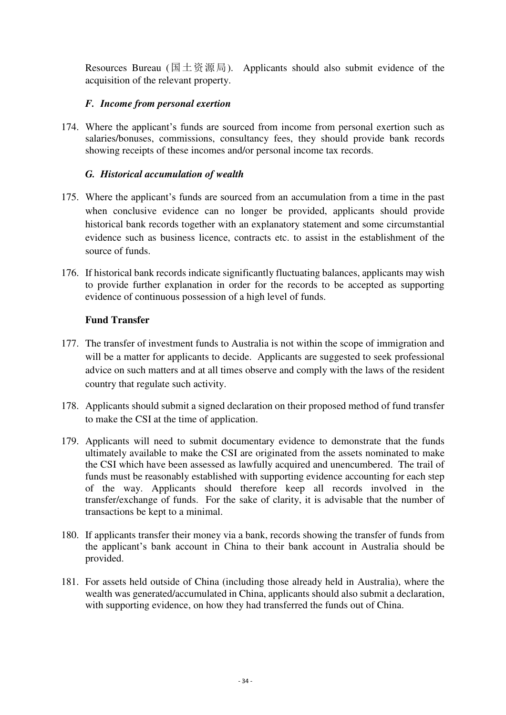Resources Bureau (国土资源局). Applicants should also submit evidence of the acquisition of the relevant property.

#### *F. Income from personal exertion*

174. Where the applicant's funds are sourced from income from personal exertion such as salaries/bonuses, commissions, consultancy fees, they should provide bank records showing receipts of these incomes and/or personal income tax records.

#### *G. Historical accumulation of wealth*

- 175. Where the applicant's funds are sourced from an accumulation from a time in the past when conclusive evidence can no longer be provided, applicants should provide historical bank records together with an explanatory statement and some circumstantial evidence such as business licence, contracts etc. to assist in the establishment of the source of funds.
- 176. If historical bank records indicate significantly fluctuating balances, applicants may wish to provide further explanation in order for the records to be accepted as supporting evidence of continuous possession of a high level of funds.

#### **Fund Transfer**

- <span id="page-36-0"></span>177. The transfer of investment funds to Australia is not within the scope of immigration and will be a matter for applicants to decide. Applicants are suggested to seek professional advice on such matters and at all times observe and comply with the laws of the resident country that regulate such activity.
- 178. Applicants should submit a signed declaration on their proposed method of fund transfer to make the CSI at the time of application.
- 179. Applicants will need to submit documentary evidence to demonstrate that the funds ultimately available to make the CSI are originated from the assets nominated to make the CSI which have been assessed as lawfully acquired and unencumbered. The trail of funds must be reasonably established with supporting evidence accounting for each step of the way. Applicants should therefore keep all records involved in the transfer/exchange of funds. For the sake of clarity, it is advisable that the number of transactions be kept to a minimal.
- 180. If applicants transfer their money via a bank, records showing the transfer of funds from the applicant's bank account in China to their bank account in Australia should be provided.
- 181. For assets held outside of China (including those already held in Australia), where the wealth was generated/accumulated in China, applicants should also submit a declaration, with supporting evidence, on how they had transferred the funds out of China.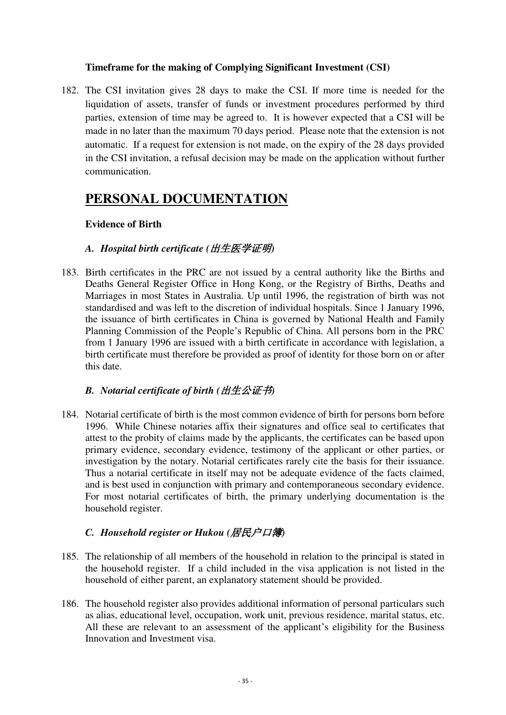#### **Timeframe for the making of Complying Significant Investment (CSI)**

<span id="page-37-0"></span>182. The CSI invitation gives 28 days to make the CSI. If more time is needed for the liquidation of assets, transfer of funds or investment procedures performed by third parties, extension of time may be agreed to. It is however expected that a CSI will be made in no later than the maximum 70 days period. Please note that the extension is not automatic. If a request for extension is not made, on the expiry of the 28 days provided in the CSI invitation, a refusal decision may be made on the application without further communication.

## <span id="page-37-1"></span>**PERSONAL DOCUMENTATION**

#### <span id="page-37-2"></span>**Evidence of Birth**

#### *A. Hospital birth certificate (*出生医学证明*)*

183. Birth certificates in the PRC are not issued by a central authority like the Births and Deaths General Register Office in Hong Kong, or the Registry of Births, Deaths and Marriages in most States in Australia. Up until 1996, the registration of birth was not standardised and was left to the discretion of individual hospitals. Since 1 January 1996, the issuance of birth certificates in China is governed by National Health and Family Planning Commission of the People's Republic of China. All persons born in the PRC from 1 January 1996 are issued with a birth certificate in accordance with legislation, a birth certificate must therefore be provided as proof of identity for those born on or after this date.

#### *B. Notarial certificate of birth (*出生公证书*)*

184. Notarial certificate of birth is the most common evidence of birth for persons born before 1996. While Chinese notaries affix their signatures and office seal to certificates that attest to the probity of claims made by the applicants, the certificates can be based upon primary evidence, secondary evidence, testimony of the applicant or other parties, or investigation by the notary. Notarial certificates rarely cite the basis for their issuance. Thus a notarial certificate in itself may not be adequate evidence of the facts claimed, and is best used in conjunction with primary and contemporaneous secondary evidence. For most notarial certificates of birth, the primary underlying documentation is the household register.

#### *C. Household register or Hukou (*居民户口簿*)*

- 185. The relationship of all members of the household in relation to the principal is stated in the household register. If a child included in the visa application is not listed in the household of either parent, an explanatory statement should be provided.
- 186. The household register also provides additional information of personal particulars such as alias, educational level, occupation, work unit, previous residence, marital status, etc. All these are relevant to an assessment of the applicant's eligibility for the Business Innovation and Investment visa.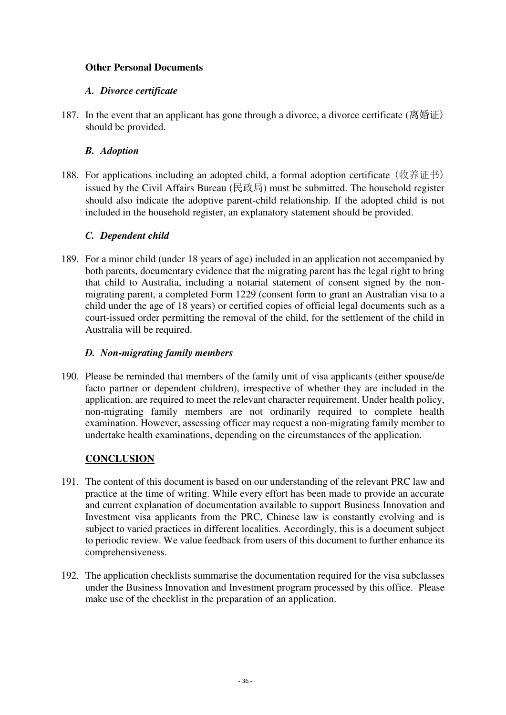#### <span id="page-38-0"></span>**Other Personal Documents**

#### *A. Divorce certificate*

187. In the event that an applicant has gone through a divorce, a divorce certificate (离婚证) should be provided.

#### *B. Adoption*

188. For applications including an adopted child, a formal adoption certificate (收养证书) issued by the Civil Affairs Bureau (民政局) must be submitted. The household register should also indicate the adoptive parent-child relationship. If the adopted child is not included in the household register, an explanatory statement should be provided.

#### *C. Dependent child*

189. For a minor child (under 18 years of age) included in an application not accompanied by both parents, documentary evidence that the migrating parent has the legal right to bring that child to Australia, including a notarial statement of consent signed by the nonmigrating parent, a completed Form 1229 (consent form to grant an Australian visa to a child under the age of 18 years) or certified copies of official legal documents such as a court-issued order permitting the removal of the child, for the settlement of the child in Australia will be required.

#### *D. Non-migrating family members*

190. Please be reminded that members of the family unit of visa applicants (either spouse/de facto partner or dependent children), irrespective of whether they are included in the application, are required to meet the relevant character requirement. Under health policy, non-migrating family members are not ordinarily required to complete health examination. However, assessing officer may request a non-migrating family member to undertake health examinations, depending on the circumstances of the application.

#### **CONCLUSION**

- <span id="page-38-1"></span>191. The content of this document is based on our understanding of the relevant PRC law and practice at the time of writing. While every effort has been made to provide an accurate and current explanation of documentation available to support Business Innovation and Investment visa applicants from the PRC, Chinese law is constantly evolving and is subject to varied practices in different localities. Accordingly, this is a document subject to periodic review. We value feedback from users of this document to further enhance its comprehensiveness.
- 192. The application checklists summarise the documentation required for the visa subclasses under the Business Innovation and Investment program processed by this office. Please make use of the checklist in the preparation of an application.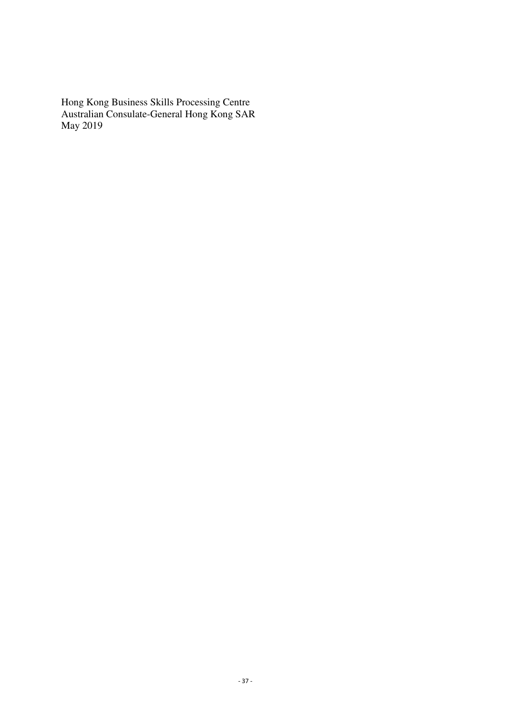Hong Kong Business Skills Processing Centre Australian Consulate-General Hong Kong SAR May 2019